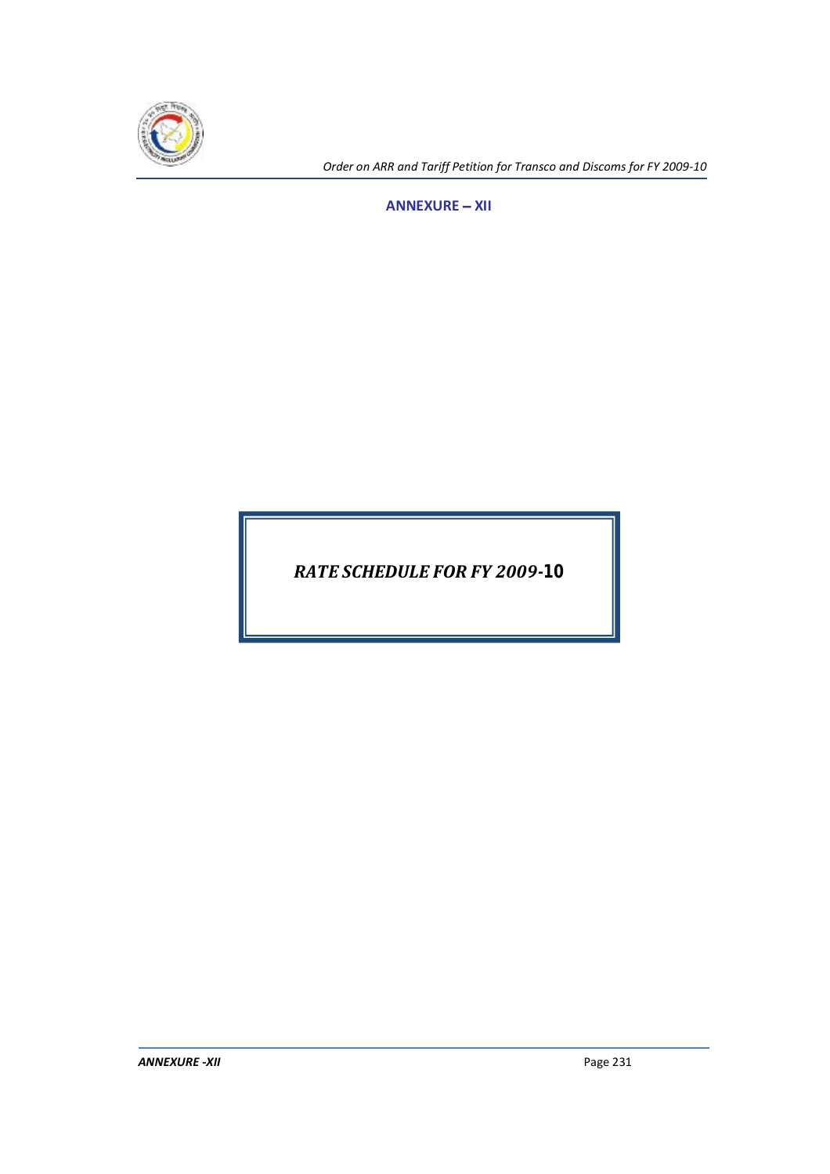

*Order on ARR and Tariff Petition for Transco and Discoms for FY 2009-10*

**ANNEXURE - XII** 

*RATE SCHEDULE FOR FY 2009-10*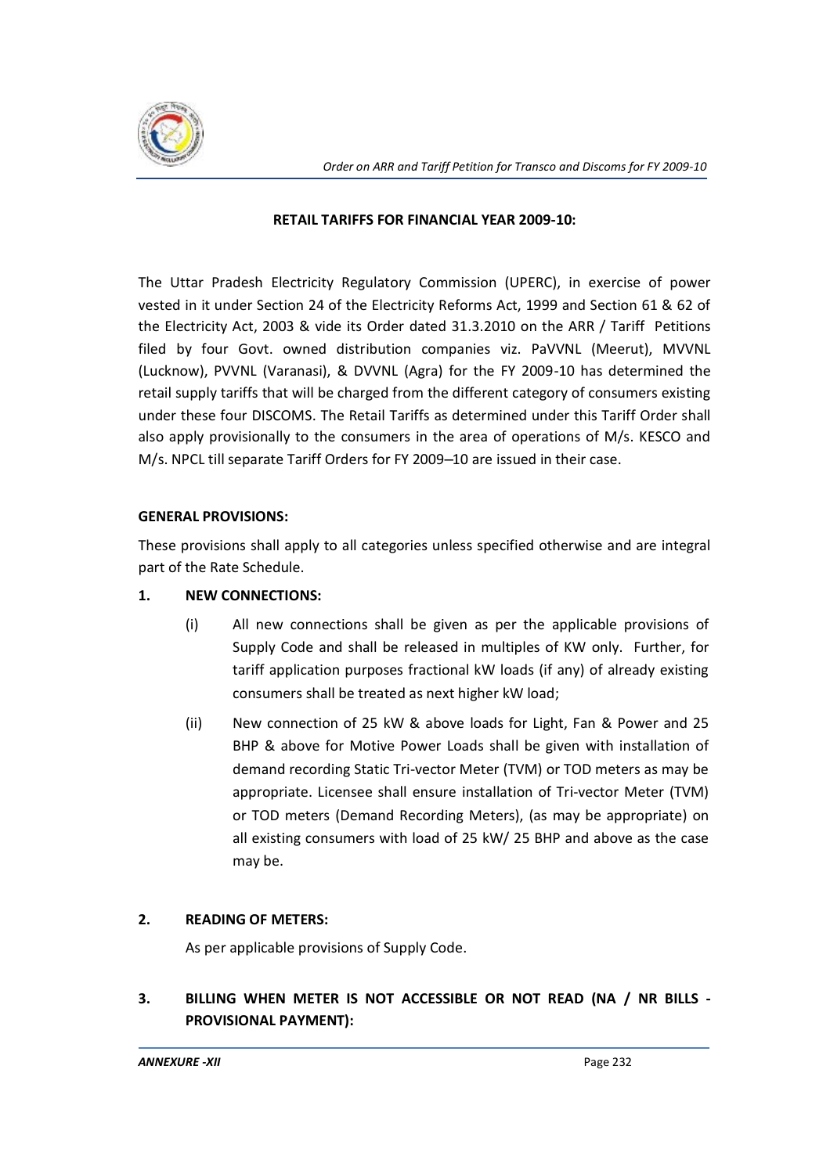

## **RETAIL TARIFFS FOR FINANCIAL YEAR 2009-10:**

The Uttar Pradesh Electricity Regulatory Commission (UPERC), in exercise of power vested in it under Section 24 of the Electricity Reforms Act, 1999 and Section 61 & 62 of the Electricity Act, 2003 & vide its Order dated 31.3.2010 on the ARR / Tariff Petitions filed by four Govt. owned distribution companies viz. PaVVNL (Meerut), MVVNL (Lucknow), PVVNL (Varanasi), & DVVNL (Agra) for the FY 2009-10 has determined the retail supply tariffs that will be charged from the different category of consumers existing under these four DISCOMS. The Retail Tariffs as determined under this Tariff Order shall also apply provisionally to the consumers in the area of operations of M/s. KESCO and M/s. NPCL till separate Tariff Orders for FY 2009-10 are issued in their case.

## **GENERAL PROVISIONS:**

These provisions shall apply to all categories unless specified otherwise and are integral part of the Rate Schedule.

# **1. NEW CONNECTIONS:**

- (i) All new connections shall be given as per the applicable provisions of Supply Code and shall be released in multiples of KW only. Further, for tariff application purposes fractional kW loads (if any) of already existing consumers shall be treated as next higher kW load;
- (ii) New connection of 25 kW & above loads for Light, Fan & Power and 25 BHP & above for Motive Power Loads shall be given with installation of demand recording Static Tri-vector Meter (TVM) or TOD meters as may be appropriate. Licensee shall ensure installation of Tri-vector Meter (TVM) or TOD meters (Demand Recording Meters), (as may be appropriate) on all existing consumers with load of 25 kW/ 25 BHP and above as the case may be.

# **2. READING OF METERS:**

As per applicable provisions of Supply Code.

# **3. BILLING WHEN METER IS NOT ACCESSIBLE OR NOT READ (NA / NR BILLS - PROVISIONAL PAYMENT):**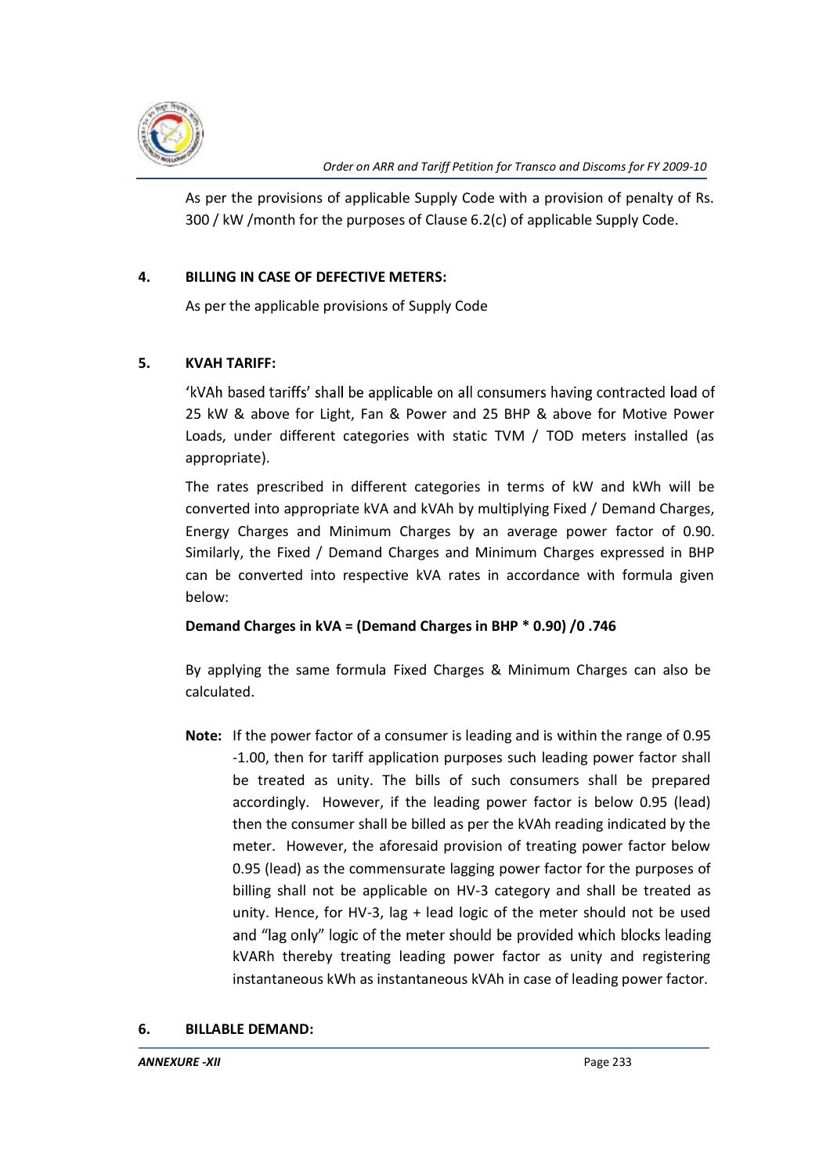

As per the provisions of applicable Supply Code with a provision of penalty of Rs. 300 / kW /month for the purposes of Clause 6.2(c) of applicable Supply Code.

# **4. BILLING IN CASE OF DEFECTIVE METERS:**

As per the applicable provisions of Supply Code

# **5. KVAH TARIFF:**

'kVAh based tariffs' shall be applicable on all consumers having contracted load of 25 kW & above for Light, Fan & Power and 25 BHP & above for Motive Power Loads, under different categories with static TVM / TOD meters installed (as appropriate).

The rates prescribed in different categories in terms of kW and kWh will be converted into appropriate kVA and kVAh by multiplying Fixed / Demand Charges, Energy Charges and Minimum Charges by an average power factor of 0.90. Similarly, the Fixed / Demand Charges and Minimum Charges expressed in BHP can be converted into respective kVA rates in accordance with formula given below:

# **Demand Charges in kVA = (Demand Charges in BHP \* 0.90) /0 .746**

By applying the same formula Fixed Charges & Minimum Charges can also be calculated.

**Note:** If the power factor of a consumer is leading and is within the range of 0.95 -1.00, then for tariff application purposes such leading power factor shall be treated as unity. The bills of such consumers shall be prepared accordingly. However, if the leading power factor is below 0.95 (lead) then the consumer shall be billed as per the kVAh reading indicated by the meter. However, the aforesaid provision of treating power factor below 0.95 (lead) as the commensurate lagging power factor for the purposes of billing shall not be applicable on HV-3 category and shall be treated as unity. Hence, for HV-3, lag + lead logic of the meter should not be used and "lag only" logic of the meter should be provided which blocks leading kVARh thereby treating leading power factor as unity and registering instantaneous kWh as instantaneous kVAh in case of leading power factor.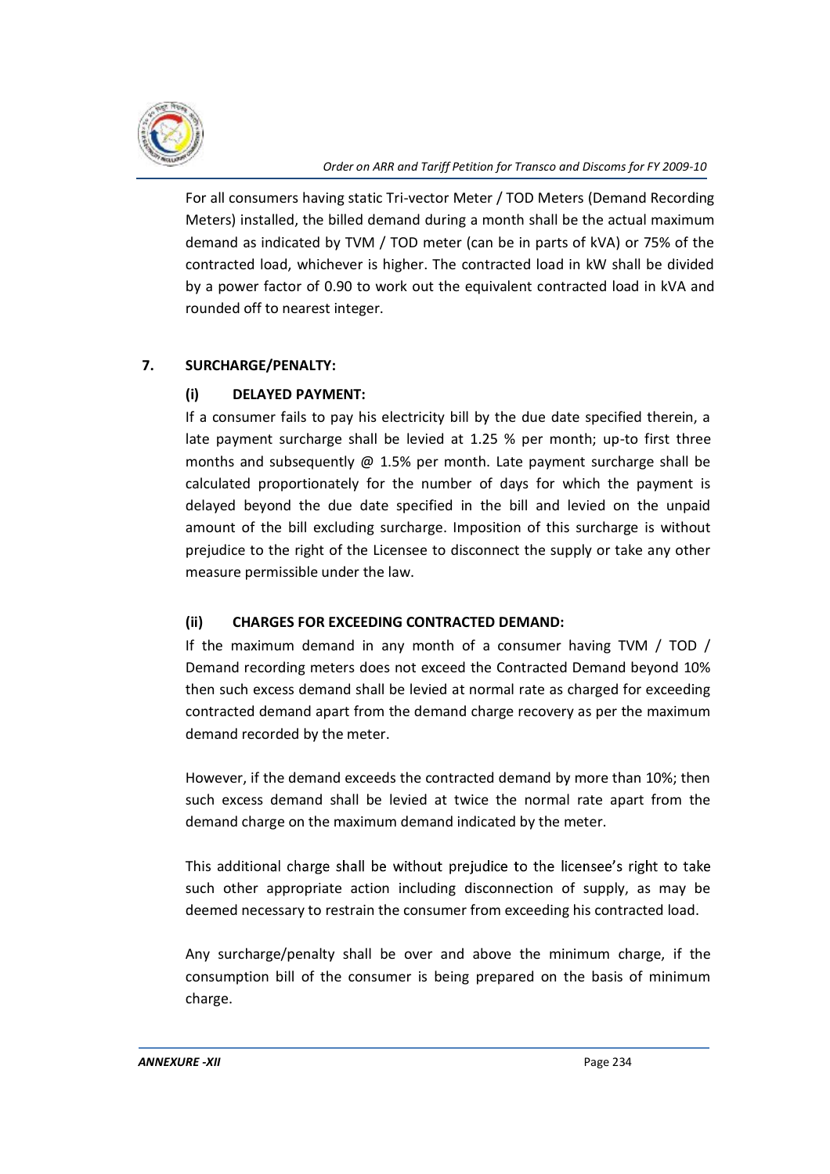

For all consumers having static Tri-vector Meter / TOD Meters (Demand Recording Meters) installed, the billed demand during a month shall be the actual maximum demand as indicated by TVM / TOD meter (can be in parts of kVA) or 75% of the contracted load, whichever is higher. The contracted load in kW shall be divided by a power factor of 0.90 to work out the equivalent contracted load in kVA and rounded off to nearest integer.

# **7. SURCHARGE/PENALTY:**

# **(i) DELAYED PAYMENT:**

If a consumer fails to pay his electricity bill by the due date specified therein, a late payment surcharge shall be levied at 1.25 % per month; up-to first three months and subsequently  $\omega$  1.5% per month. Late payment surcharge shall be calculated proportionately for the number of days for which the payment is delayed beyond the due date specified in the bill and levied on the unpaid amount of the bill excluding surcharge. Imposition of this surcharge is without prejudice to the right of the Licensee to disconnect the supply or take any other measure permissible under the law.

# **(ii) CHARGES FOR EXCEEDING CONTRACTED DEMAND:**

If the maximum demand in any month of a consumer having TVM / TOD / Demand recording meters does not exceed the Contracted Demand beyond 10% then such excess demand shall be levied at normal rate as charged for exceeding contracted demand apart from the demand charge recovery as per the maximum demand recorded by the meter.

However, if the demand exceeds the contracted demand by more than 10%; then such excess demand shall be levied at twice the normal rate apart from the demand charge on the maximum demand indicated by the meter.

This additional charge shall be without prejudice to the licensee's right to take such other appropriate action including disconnection of supply, as may be deemed necessary to restrain the consumer from exceeding his contracted load.

Any surcharge/penalty shall be over and above the minimum charge, if the consumption bill of the consumer is being prepared on the basis of minimum charge.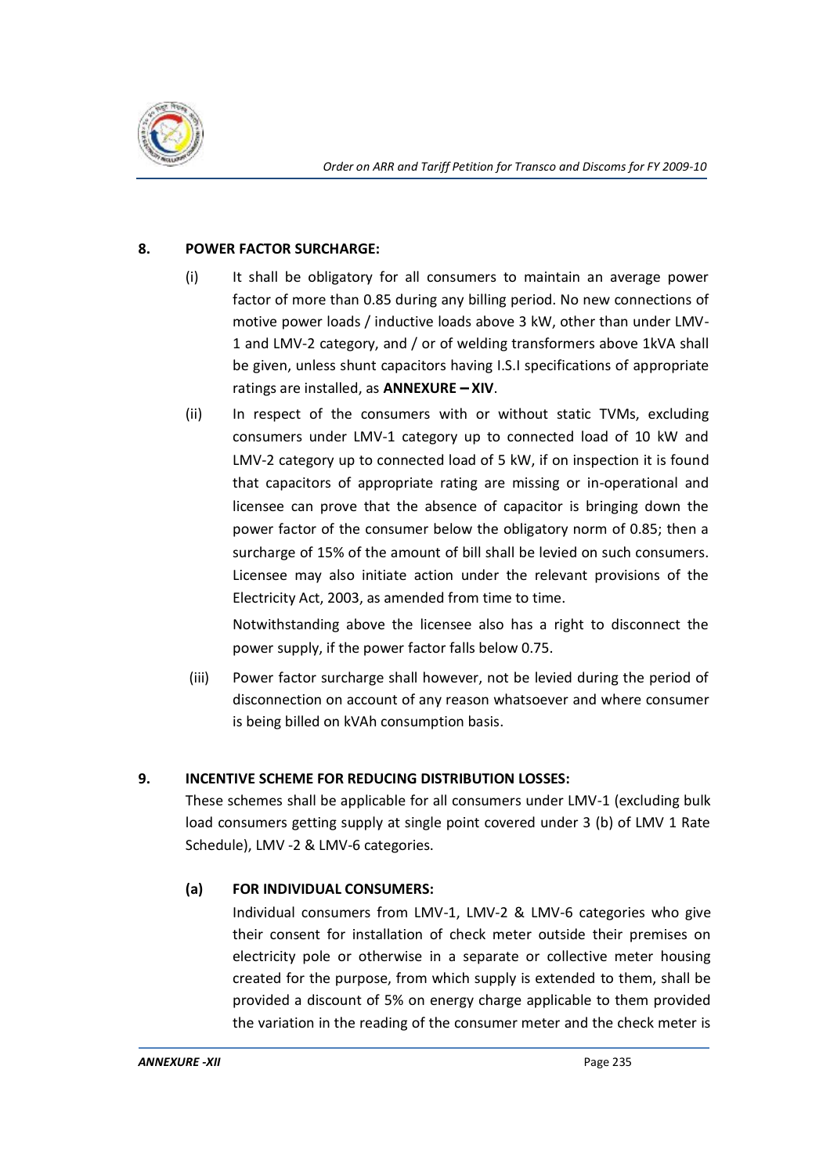

## **8. POWER FACTOR SURCHARGE:**

- (i) It shall be obligatory for all consumers to maintain an average power factor of more than 0.85 during any billing period. No new connections of motive power loads / inductive loads above 3 kW, other than under LMV-1 and LMV-2 category, and / or of welding transformers above 1kVA shall be given, unless shunt capacitors having I.S.I specifications of appropriate ratings are installed, as **ANNEXURE - XIV**.
- (ii) In respect of the consumers with or without static TVMs, excluding consumers under LMV-1 category up to connected load of 10 kW and LMV-2 category up to connected load of 5 kW, if on inspection it is found that capacitors of appropriate rating are missing or in-operational and licensee can prove that the absence of capacitor is bringing down the power factor of the consumer below the obligatory norm of 0.85; then a surcharge of 15% of the amount of bill shall be levied on such consumers. Licensee may also initiate action under the relevant provisions of the Electricity Act, 2003, as amended from time to time.

Notwithstanding above the licensee also has a right to disconnect the power supply, if the power factor falls below 0.75.

(iii) Power factor surcharge shall however, not be levied during the period of disconnection on account of any reason whatsoever and where consumer is being billed on kVAh consumption basis.

# **9. INCENTIVE SCHEME FOR REDUCING DISTRIBUTION LOSSES:**

These schemes shall be applicable for all consumers under LMV-1 (excluding bulk load consumers getting supply at single point covered under 3 (b) of LMV 1 Rate Schedule), LMV -2 & LMV-6 categories.

# **(a) FOR INDIVIDUAL CONSUMERS:**

Individual consumers from LMV-1, LMV-2 & LMV-6 categories who give their consent for installation of check meter outside their premises on electricity pole or otherwise in a separate or collective meter housing created for the purpose, from which supply is extended to them, shall be provided a discount of 5% on energy charge applicable to them provided the variation in the reading of the consumer meter and the check meter is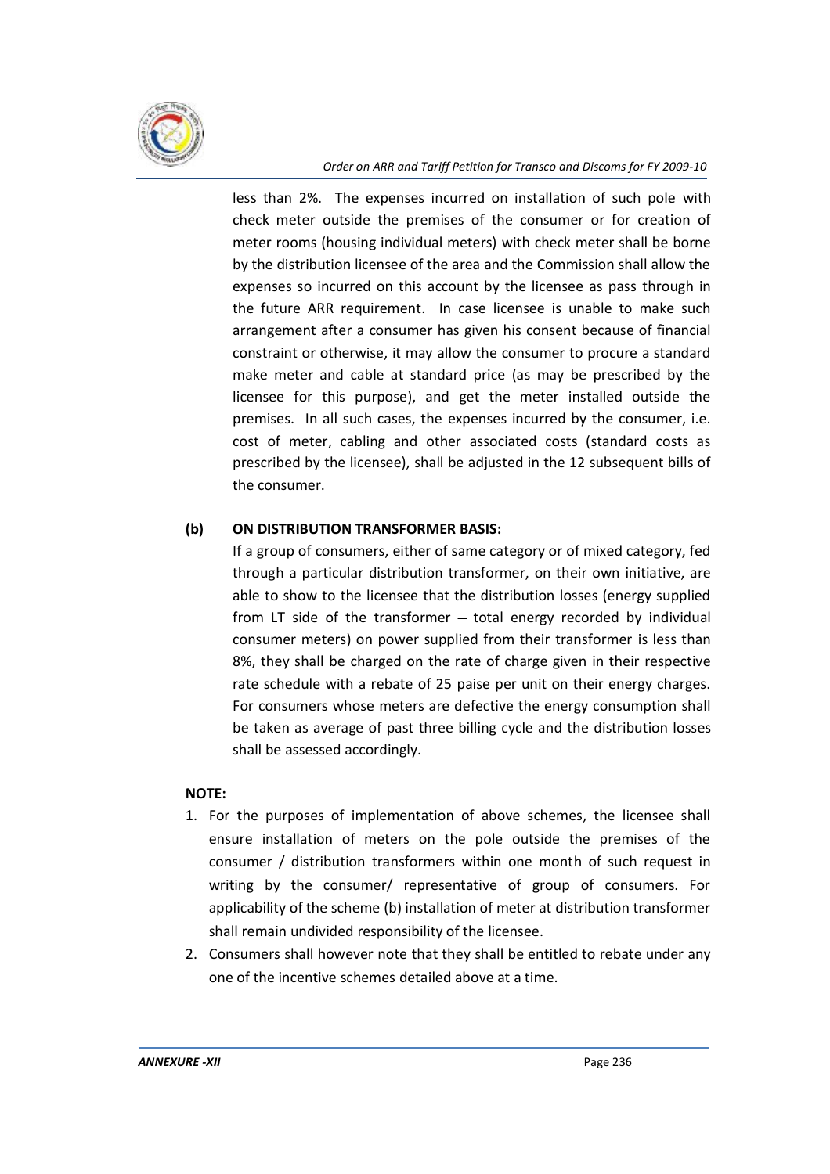

less than 2%. The expenses incurred on installation of such pole with check meter outside the premises of the consumer or for creation of meter rooms (housing individual meters) with check meter shall be borne by the distribution licensee of the area and the Commission shall allow the expenses so incurred on this account by the licensee as pass through in the future ARR requirement. In case licensee is unable to make such arrangement after a consumer has given his consent because of financial constraint or otherwise, it may allow the consumer to procure a standard make meter and cable at standard price (as may be prescribed by the licensee for this purpose), and get the meter installed outside the premises. In all such cases, the expenses incurred by the consumer, i.e. cost of meter, cabling and other associated costs (standard costs as prescribed by the licensee), shall be adjusted in the 12 subsequent bills of the consumer.

## **(b) ON DISTRIBUTION TRANSFORMER BASIS:**

If a group of consumers, either of same category or of mixed category, fed through a particular distribution transformer, on their own initiative, are able to show to the licensee that the distribution losses (energy supplied from LT side of the transformer  $-$  total energy recorded by individual consumer meters) on power supplied from their transformer is less than 8%, they shall be charged on the rate of charge given in their respective rate schedule with a rebate of 25 paise per unit on their energy charges. For consumers whose meters are defective the energy consumption shall be taken as average of past three billing cycle and the distribution losses shall be assessed accordingly.

#### **NOTE:**

- 1. For the purposes of implementation of above schemes, the licensee shall ensure installation of meters on the pole outside the premises of the consumer / distribution transformers within one month of such request in writing by the consumer/ representative of group of consumers. For applicability of the scheme (b) installation of meter at distribution transformer shall remain undivided responsibility of the licensee.
- 2. Consumers shall however note that they shall be entitled to rebate under any one of the incentive schemes detailed above at a time.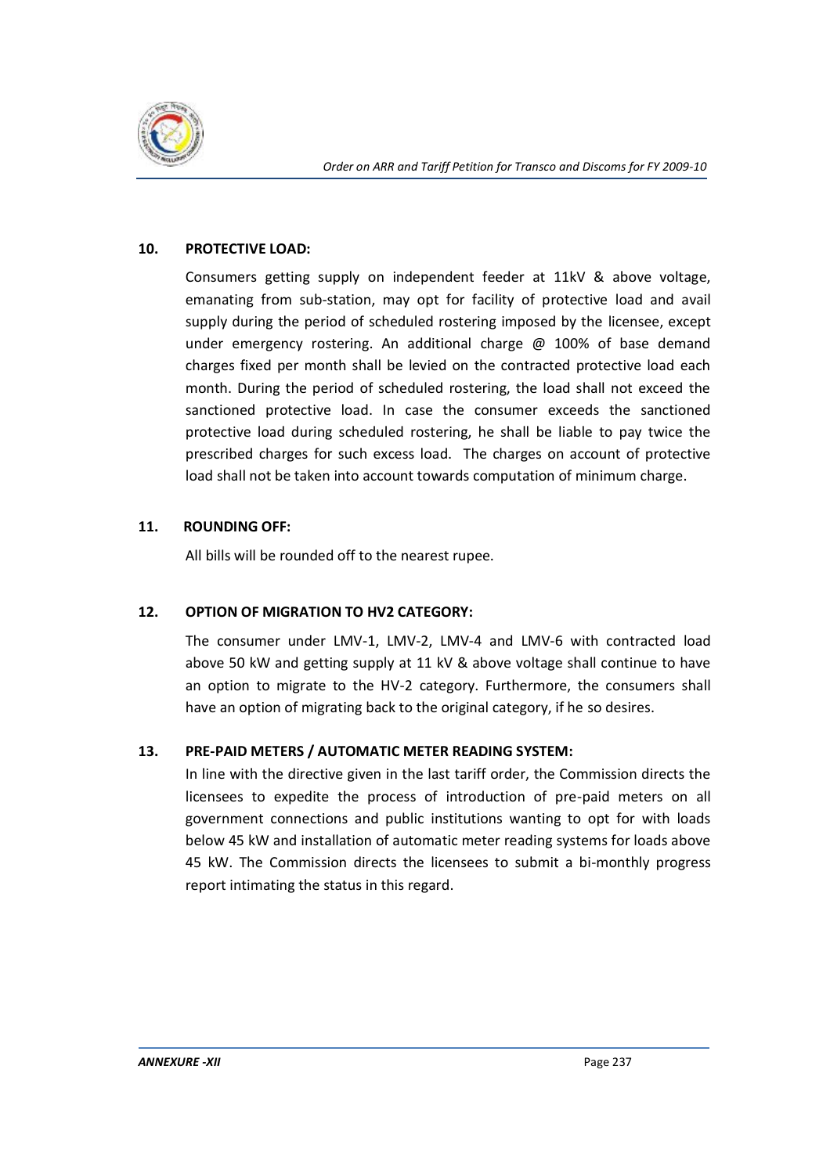

## **10. PROTECTIVE LOAD:**

Consumers getting supply on independent feeder at 11kV & above voltage, emanating from sub-station, may opt for facility of protective load and avail supply during the period of scheduled rostering imposed by the licensee, except under emergency rostering. An additional charge  $\omega$  100% of base demand charges fixed per month shall be levied on the contracted protective load each month. During the period of scheduled rostering, the load shall not exceed the sanctioned protective load. In case the consumer exceeds the sanctioned protective load during scheduled rostering, he shall be liable to pay twice the prescribed charges for such excess load. The charges on account of protective load shall not be taken into account towards computation of minimum charge.

# **11. ROUNDING OFF:**

All bills will be rounded off to the nearest rupee.

# **12. OPTION OF MIGRATION TO HV2 CATEGORY:**

The consumer under LMV-1, LMV-2, LMV-4 and LMV-6 with contracted load above 50 kW and getting supply at 11 kV & above voltage shall continue to have an option to migrate to the HV-2 category. Furthermore, the consumers shall have an option of migrating back to the original category, if he so desires.

# **13. PRE-PAID METERS / AUTOMATIC METER READING SYSTEM:**

In line with the directive given in the last tariff order, the Commission directs the licensees to expedite the process of introduction of pre-paid meters on all government connections and public institutions wanting to opt for with loads below 45 kW and installation of automatic meter reading systems for loads above 45 kW. The Commission directs the licensees to submit a bi-monthly progress report intimating the status in this regard.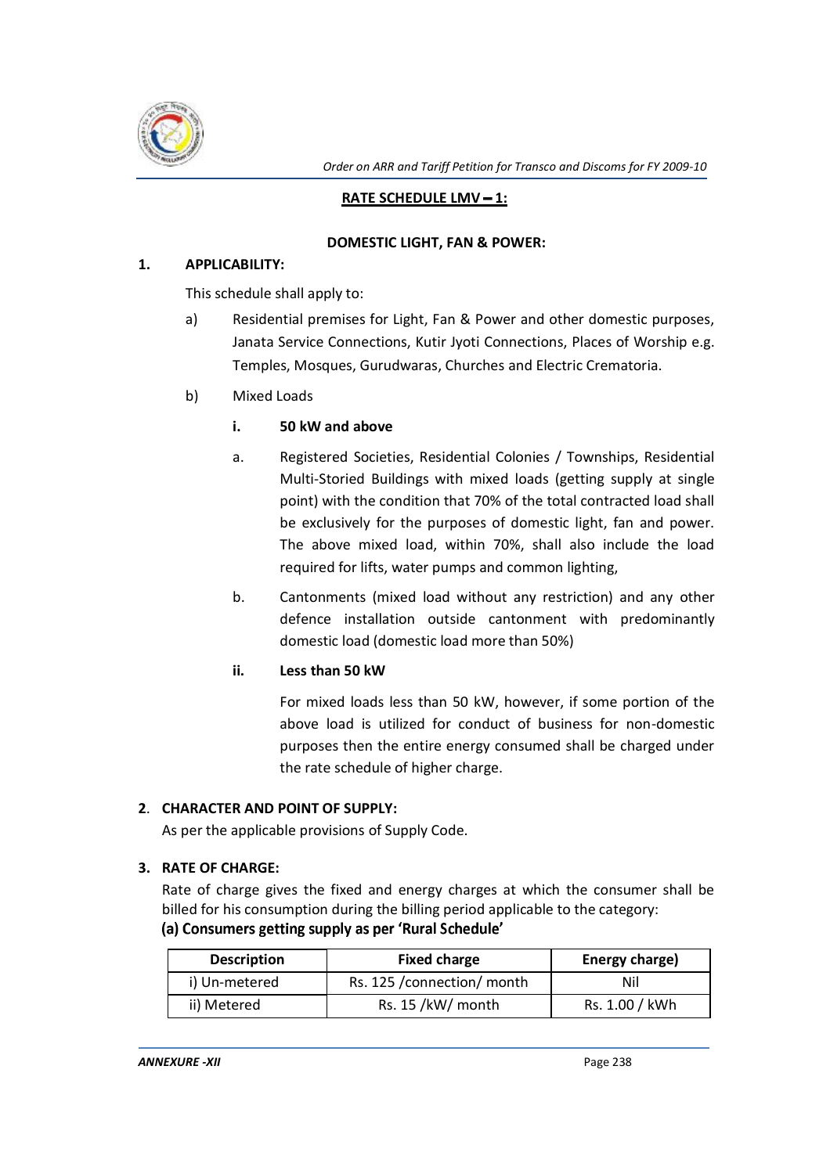

*Order on ARR and Tariff Petition for Transco and Discoms for FY 2009-10*

## **RATE SCHEDULE LMV - 1:**

#### **DOMESTIC LIGHT, FAN & POWER:**

#### **1. APPLICABILITY:**

This schedule shall apply to:

- a) Residential premises for Light, Fan & Power and other domestic purposes, Janata Service Connections, Kutir Jyoti Connections, Places of Worship e.g. Temples, Mosques, Gurudwaras, Churches and Electric Crematoria.
- b) Mixed Loads

## **i. 50 kW and above**

- a. Registered Societies, Residential Colonies / Townships, Residential Multi-Storied Buildings with mixed loads (getting supply at single point) with the condition that 70% of the total contracted load shall be exclusively for the purposes of domestic light, fan and power. The above mixed load, within 70%, shall also include the load required for lifts, water pumps and common lighting,
- b. Cantonments (mixed load without any restriction) and any other defence installation outside cantonment with predominantly domestic load (domestic load more than 50%)
- **ii. Less than 50 kW**

For mixed loads less than 50 kW, however, if some portion of the above load is utilized for conduct of business for non-domestic purposes then the entire energy consumed shall be charged under the rate schedule of higher charge.

#### **2**. **CHARACTER AND POINT OF SUPPLY:**

As per the applicable provisions of Supply Code.

#### **3. RATE OF CHARGE:**

Rate of charge gives the fixed and energy charges at which the consumer shall be billed for his consumption during the billing period applicable to the category: (a) Consumers getting supply as per 'Rural Schedule'

| <b>Description</b> | <b>Fixed charge</b>         | Energy charge) |
|--------------------|-----------------------------|----------------|
| i) Un-metered      | Rs. 125 / connection/ month | Nil            |
| ii) Metered        | Rs. 15 /kW/ month           | Rs. 1.00 / kWh |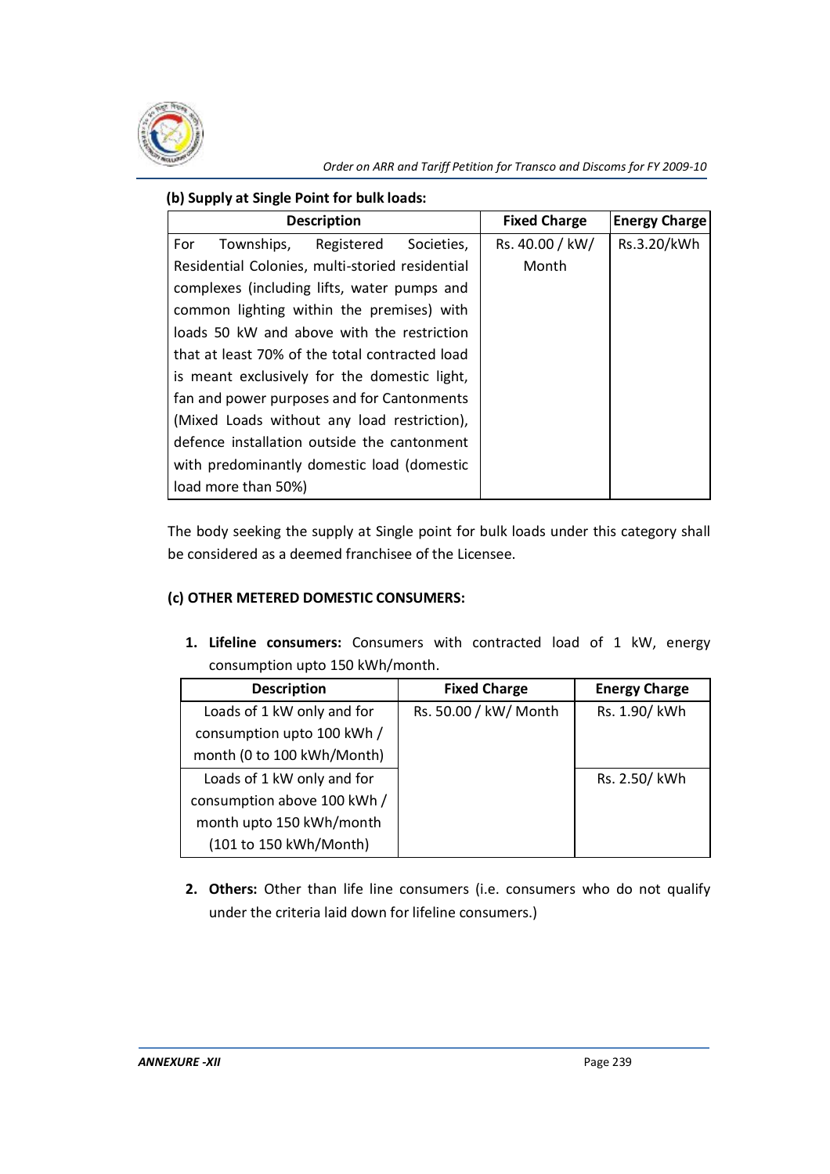

## **(b) Supply at Single Point for bulk loads:**

| <b>Description</b>                              | <b>Fixed Charge</b> | <b>Energy Charge</b> |
|-------------------------------------------------|---------------------|----------------------|
| For<br>Townships, Registered<br>Societies,      | Rs. 40.00 / kW/     | Rs.3.20/kWh          |
| Residential Colonies, multi-storied residential | Month               |                      |
| complexes (including lifts, water pumps and     |                     |                      |
| common lighting within the premises) with       |                     |                      |
| loads 50 kW and above with the restriction      |                     |                      |
| that at least 70% of the total contracted load  |                     |                      |
| is meant exclusively for the domestic light,    |                     |                      |
| fan and power purposes and for Cantonments      |                     |                      |
| (Mixed Loads without any load restriction),     |                     |                      |
| defence installation outside the cantonment     |                     |                      |
| with predominantly domestic load (domestic      |                     |                      |
| load more than 50%)                             |                     |                      |

The body seeking the supply at Single point for bulk loads under this category shall be considered as a deemed franchisee of the Licensee.

# **(c) OTHER METERED DOMESTIC CONSUMERS:**

**1. Lifeline consumers:** Consumers with contracted load of 1 kW, energy consumption upto 150 kWh/month.

| <b>Description</b>          | <b>Fixed Charge</b>   | <b>Energy Charge</b> |
|-----------------------------|-----------------------|----------------------|
| Loads of 1 kW only and for  | Rs. 50.00 / kW/ Month | Rs. 1.90/ kWh        |
| consumption upto 100 kWh /  |                       |                      |
| month (0 to 100 kWh/Month)  |                       |                      |
| Loads of 1 kW only and for  |                       | Rs. 2.50/ kWh        |
| consumption above 100 kWh / |                       |                      |
| month upto 150 kWh/month    |                       |                      |
| (101 to 150 kWh/Month)      |                       |                      |

**2. Others:** Other than life line consumers (i.e. consumers who do not qualify under the criteria laid down for lifeline consumers.)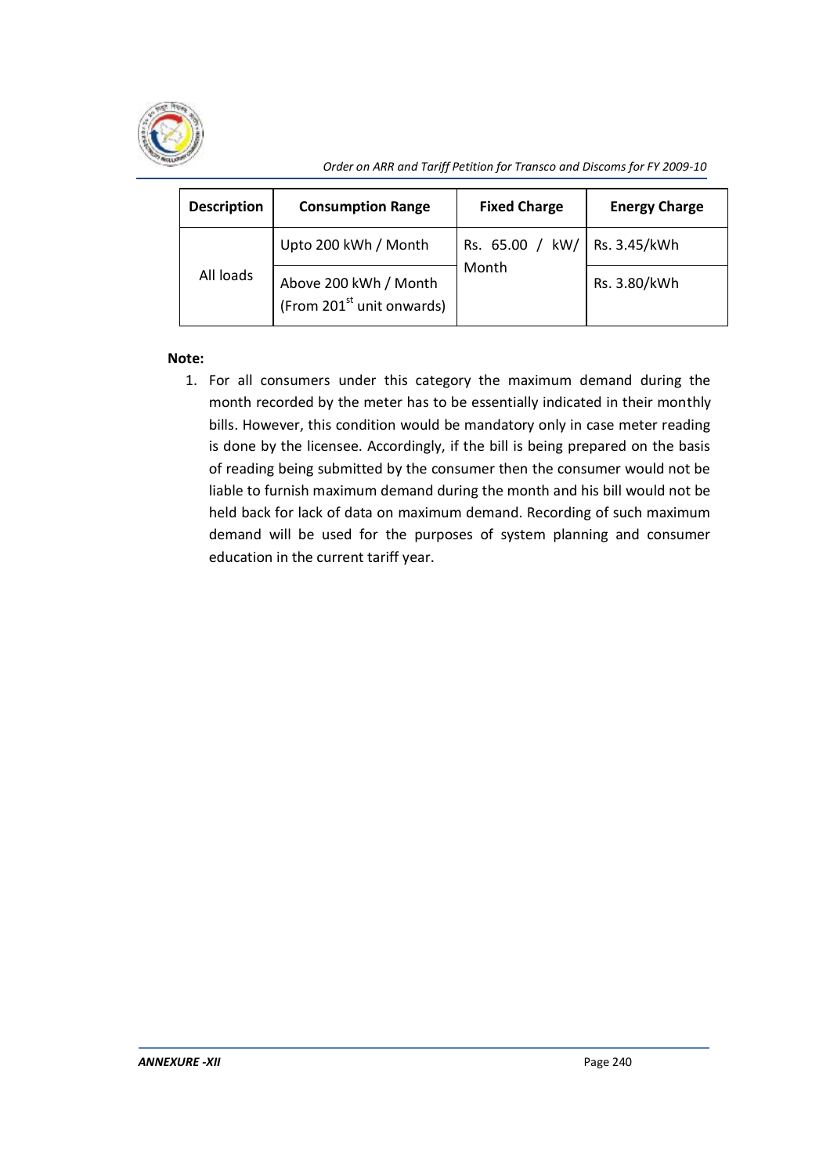

*Order on ARR and Tariff Petition for Transco and Discoms for FY 2009-10*

| <b>Description</b> | <b>Consumption Range</b>                                       | <b>Fixed Charge</b>            | <b>Energy Charge</b> |
|--------------------|----------------------------------------------------------------|--------------------------------|----------------------|
|                    | Upto 200 kWh / Month                                           | Rs. 65.00 / kW/   Rs. 3.45/kWh |                      |
| All loads          | Above 200 kWh / Month<br>(From 201 <sup>st</sup> unit onwards) | Month                          | Rs. 3.80/kWh         |

# **Note:**

1. For all consumers under this category the maximum demand during the month recorded by the meter has to be essentially indicated in their monthly bills. However, this condition would be mandatory only in case meter reading is done by the licensee. Accordingly, if the bill is being prepared on the basis of reading being submitted by the consumer then the consumer would not be liable to furnish maximum demand during the month and his bill would not be held back for lack of data on maximum demand. Recording of such maximum demand will be used for the purposes of system planning and consumer education in the current tariff year.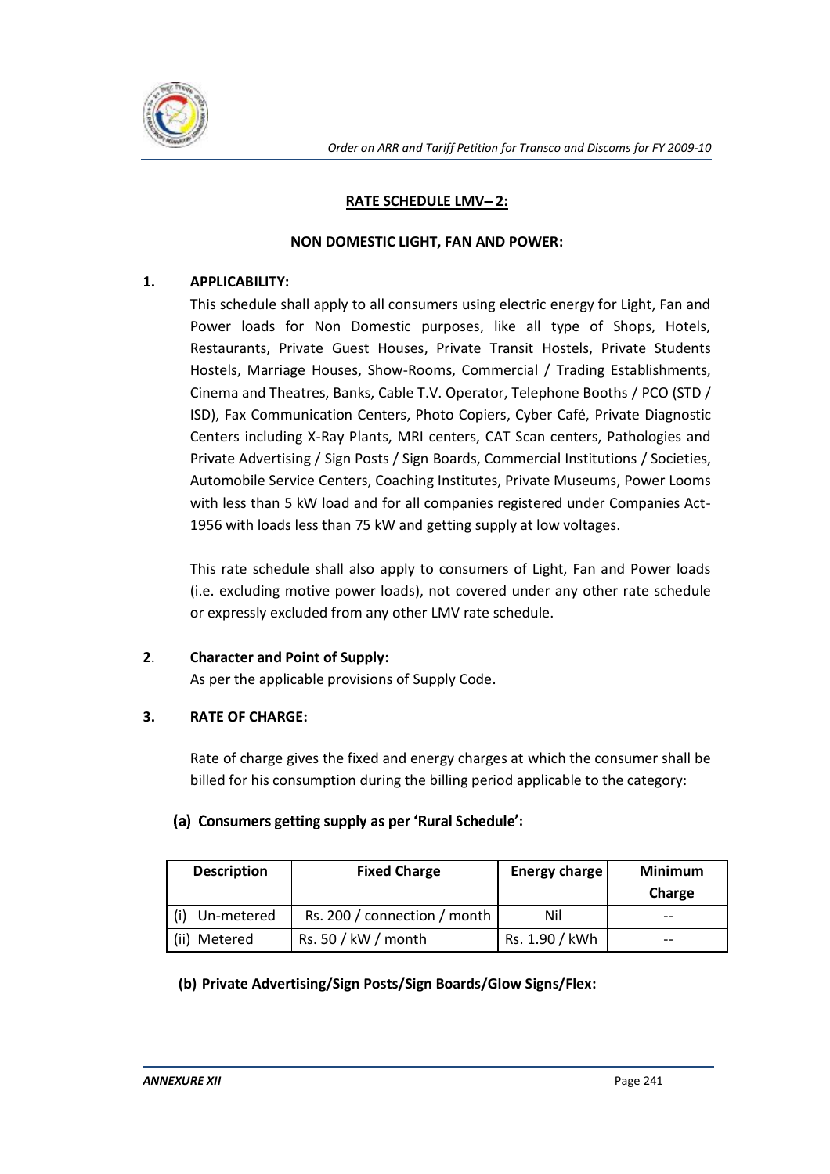

## **RATE SCHEDULE LMV-2:**

#### **NON DOMESTIC LIGHT, FAN AND POWER:**

## **1. APPLICABILITY:**

This schedule shall apply to all consumers using electric energy for Light, Fan and Power loads for Non Domestic purposes, like all type of Shops, Hotels, Restaurants, Private Guest Houses, Private Transit Hostels, Private Students Hostels, Marriage Houses, Show-Rooms, Commercial / Trading Establishments, Cinema and Theatres, Banks, Cable T.V. Operator, Telephone Booths / PCO (STD / ISD), Fax Communication Centers, Photo Copiers, Cyber Café, Private Diagnostic Centers including X-Ray Plants, MRI centers, CAT Scan centers, Pathologies and Private Advertising / Sign Posts / Sign Boards, Commercial Institutions / Societies, Automobile Service Centers, Coaching Institutes, Private Museums, Power Looms with less than 5 kW load and for all companies registered under Companies Act-1956 with loads less than 75 kW and getting supply at low voltages.

This rate schedule shall also apply to consumers of Light, Fan and Power loads (i.e. excluding motive power loads), not covered under any other rate schedule or expressly excluded from any other LMV rate schedule.

# **2**. **Character and Point of Supply:**

As per the applicable provisions of Supply Code.

# **3. RATE OF CHARGE:**

Rate of charge gives the fixed and energy charges at which the consumer shall be billed for his consumption during the billing period applicable to the category:

# (a) Consumers getting supply as per 'Rural Schedule':

| <b>Description</b> | <b>Fixed Charge</b>          | <b>Energy charge</b> | <b>Minimum</b><br>Charge |
|--------------------|------------------------------|----------------------|--------------------------|
| Un-metered         | Rs. 200 / connection / month | Nil                  | $ -$                     |
| (ii) Metered       | Rs. 50 / kW / month          | Rs. 1.90 / kWh       | $-$                      |

# **(b) Private Advertising/Sign Posts/Sign Boards/Glow Signs/Flex:**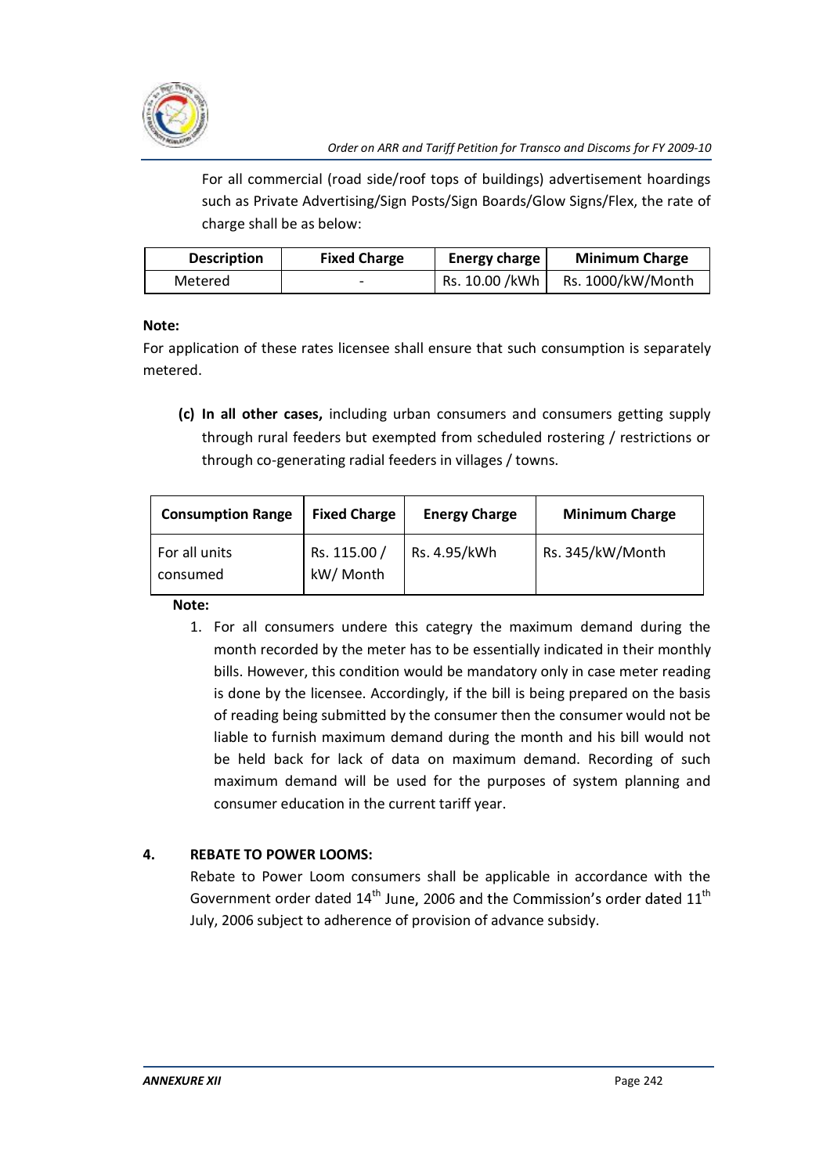

For all commercial (road side/roof tops of buildings) advertisement hoardings such as Private Advertising/Sign Posts/Sign Boards/Glow Signs/Flex, the rate of charge shall be as below:

| <b>Description</b> | <b>Fixed Charge</b>      | Energy charge  | <b>Minimum Charge</b> |
|--------------------|--------------------------|----------------|-----------------------|
| Metered            | $\overline{\phantom{a}}$ | Rs. 10.00 /kWh | Rs. 1000/kW/Month     |

# **Note:**

For application of these rates licensee shall ensure that such consumption is separately metered.

**(c) In all other cases,** including urban consumers and consumers getting supply through rural feeders but exempted from scheduled rostering / restrictions or through co-generating radial feeders in villages / towns.

| <b>Consumption Range</b>  | <b>Fixed Charge</b>       | <b>Energy Charge</b> | <b>Minimum Charge</b> |
|---------------------------|---------------------------|----------------------|-----------------------|
| For all units<br>consumed | Rs. 115.00 /<br>kW/ Month | Rs. 4.95/kWh         | Rs. 345/kW/Month      |

**Note:** 

1. For all consumers undere this categry the maximum demand during the month recorded by the meter has to be essentially indicated in their monthly bills. However, this condition would be mandatory only in case meter reading is done by the licensee. Accordingly, if the bill is being prepared on the basis of reading being submitted by the consumer then the consumer would not be liable to furnish maximum demand during the month and his bill would not be held back for lack of data on maximum demand. Recording of such maximum demand will be used for the purposes of system planning and consumer education in the current tariff year.

# **4. REBATE TO POWER LOOMS:**

Rebate to Power Loom consumers shall be applicable in accordance with the Government order dated  $14<sup>th</sup>$  June, 2006 and the Commission's order dated  $11<sup>th</sup>$ July, 2006 subject to adherence of provision of advance subsidy.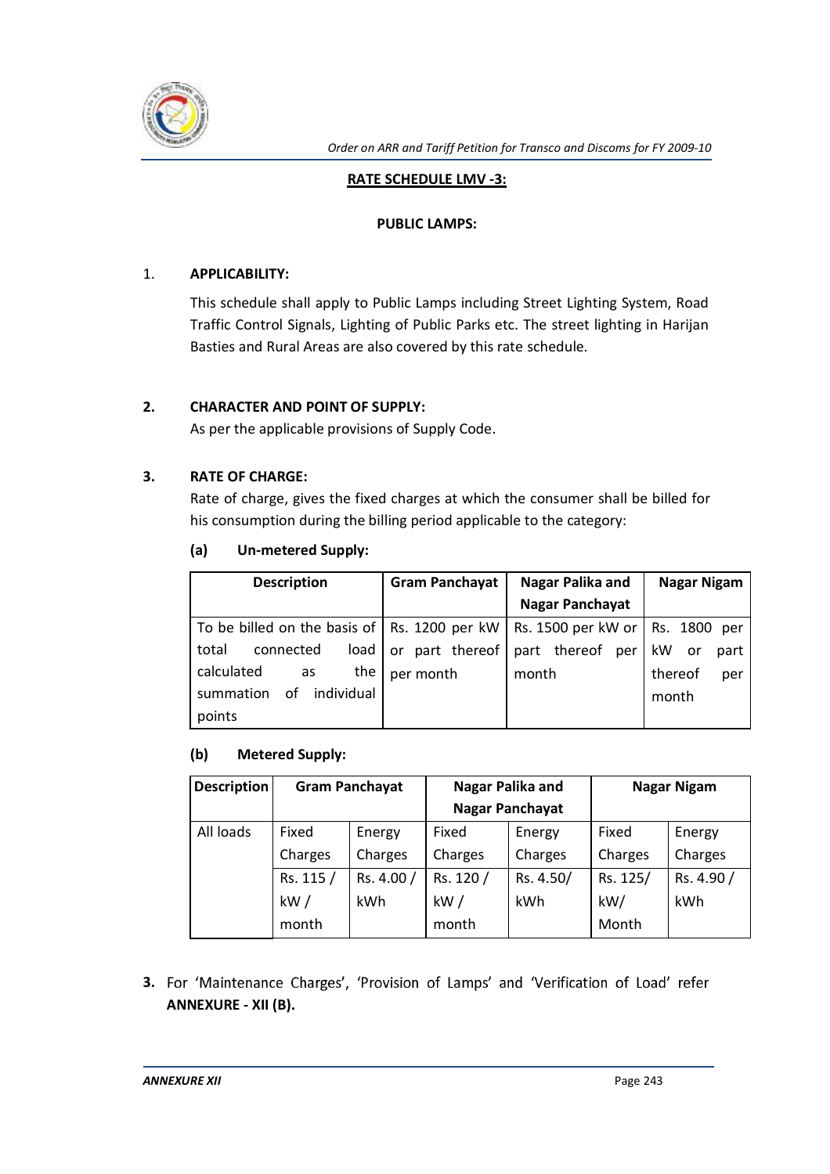

## **RATE SCHEDULE LMV -3:**

#### **PUBLIC LAMPS:**

## 1. **APPLICABILITY:**

This schedule shall apply to Public Lamps including Street Lighting System, Road Traffic Control Signals, Lighting of Public Parks etc. The street lighting in Harijan Basties and Rural Areas are also covered by this rate schedule.

## **2. CHARACTER AND POINT OF SUPPLY:**

As per the applicable provisions of Supply Code.

## **3. RATE OF CHARGE:**

Rate of charge, gives the fixed charges at which the consumer shall be billed for his consumption during the billing period applicable to the category:

| (a) | <b>Un-metered Supply:</b> |
|-----|---------------------------|
|     |                           |

| <b>Description</b>                                                                 | <b>Gram Panchayat</b> | Nagar Palika and       | <b>Nagar Nigam</b> |
|------------------------------------------------------------------------------------|-----------------------|------------------------|--------------------|
|                                                                                    |                       | <b>Nagar Panchayat</b> |                    |
| To be billed on the basis of   Rs. 1200 per kW   Rs. 1500 per kW or   Rs. 1800 per |                       |                        |                    |
| total<br>load<br>connected                                                         | or part thereof       | part thereof<br>per    | kW<br>. or<br>part |
| calculated<br>the<br>as                                                            | per month             | month                  | thereof<br>per     |
| individual<br>οf<br>summation                                                      |                       |                        | month              |
| points                                                                             |                       |                        |                    |

#### **(b) Metered Supply:**

| <b>Description</b> | <b>Gram Panchayat</b> |            |                        | Nagar Palika and |          | Nagar Nigam |
|--------------------|-----------------------|------------|------------------------|------------------|----------|-------------|
|                    |                       |            | <b>Nagar Panchayat</b> |                  |          |             |
| All loads          | Fixed                 | Energy     | Fixed                  | Energy           | Fixed    | Energy      |
|                    | Charges               | Charges    | Charges                | Charges          | Charges  | Charges     |
|                    | Rs. 115 /             | Rs. 4.00 / | Rs. 120 /              | Rs. 4.50/        | Rs. 125/ | Rs. 4.90 /  |
|                    | kW/                   | <b>kWh</b> | kW/                    | kWh              | kW/      | kWh         |
|                    | month                 |            | month                  |                  | Month    |             |

3. For 'Maintenance Charges', 'Provision of Lamps' and 'Verification of Load' refer **ANNEXURE - XII (B).**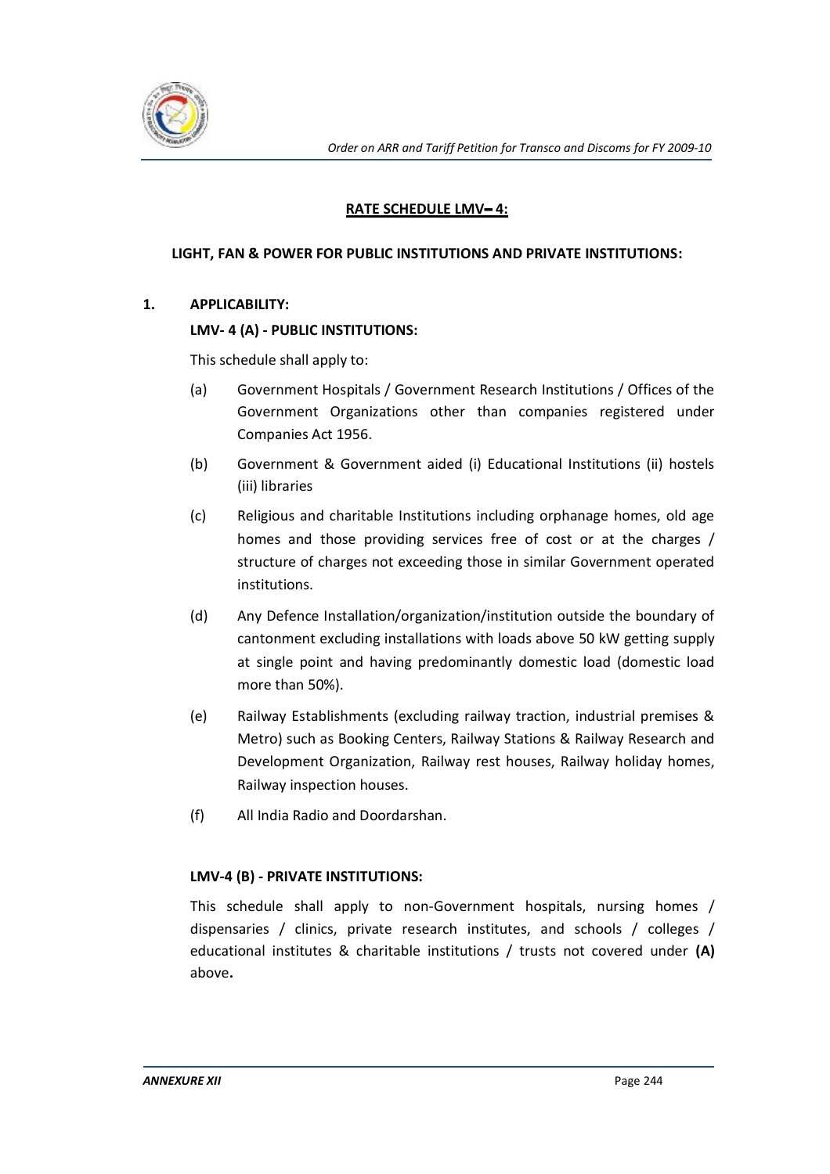

# **RATE SCHEDULE LMV-4:**

#### **LIGHT, FAN & POWER FOR PUBLIC INSTITUTIONS AND PRIVATE INSTITUTIONS:**

## **1. APPLICABILITY:**

## **LMV- 4 (A) - PUBLIC INSTITUTIONS:**

This schedule shall apply to:

- (a) Government Hospitals / Government Research Institutions / Offices of the Government Organizations other than companies registered under Companies Act 1956.
- (b) Government & Government aided (i) Educational Institutions (ii) hostels (iii) libraries
- (c) Religious and charitable Institutions including orphanage homes, old age homes and those providing services free of cost or at the charges / structure of charges not exceeding those in similar Government operated institutions.
- (d) Any Defence Installation/organization/institution outside the boundary of cantonment excluding installations with loads above 50 kW getting supply at single point and having predominantly domestic load (domestic load more than 50%).
- (e) Railway Establishments (excluding railway traction, industrial premises & Metro) such as Booking Centers, Railway Stations & Railway Research and Development Organization, Railway rest houses, Railway holiday homes, Railway inspection houses.
- (f) All India Radio and Doordarshan.

# **LMV-4 (B) - PRIVATE INSTITUTIONS:**

This schedule shall apply to non-Government hospitals, nursing homes / dispensaries / clinics, private research institutes, and schools / colleges / educational institutes & charitable institutions / trusts not covered under **(A)**  above**.**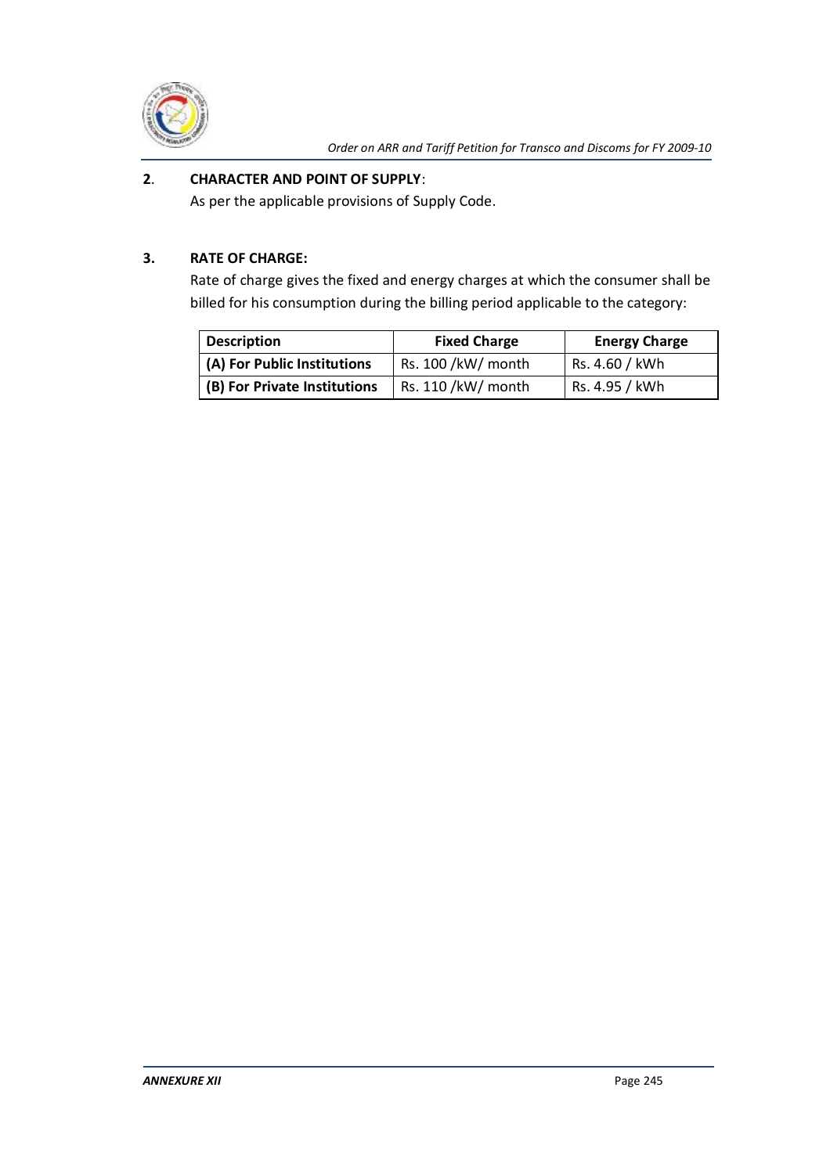

# **2**. **CHARACTER AND POINT OF SUPPLY**:

As per the applicable provisions of Supply Code.

# **3. RATE OF CHARGE:**

Rate of charge gives the fixed and energy charges at which the consumer shall be billed for his consumption during the billing period applicable to the category:

| <b>Description</b>           | <b>Fixed Charge</b> | <b>Energy Charge</b> |
|------------------------------|---------------------|----------------------|
| (A) For Public Institutions  | Rs. 100 /kW/ month  | Rs. 4.60 / kWh       |
| (B) For Private Institutions | Rs. 110 /kW/ month  | Rs. 4.95 / kWh       |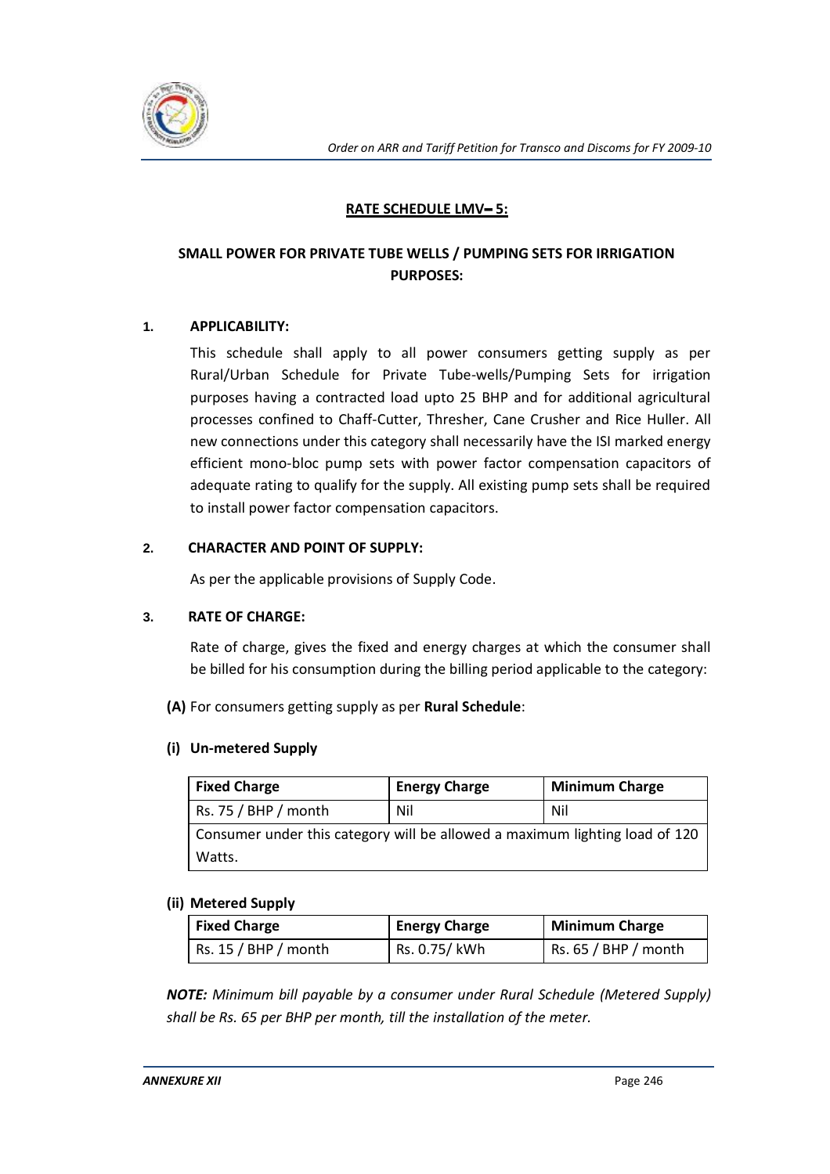

## **RATE SCHEDULE LMV-5:**

# **SMALL POWER FOR PRIVATE TUBE WELLS / PUMPING SETS FOR IRRIGATION PURPOSES:**

## **1. APPLICABILITY:**

This schedule shall apply to all power consumers getting supply as per Rural/Urban Schedule for Private Tube-wells/Pumping Sets for irrigation purposes having a contracted load upto 25 BHP and for additional agricultural processes confined to Chaff-Cutter, Thresher, Cane Crusher and Rice Huller. All new connections under this category shall necessarily have the ISI marked energy efficient mono-bloc pump sets with power factor compensation capacitors of adequate rating to qualify for the supply. All existing pump sets shall be required to install power factor compensation capacitors.

#### **2. CHARACTER AND POINT OF SUPPLY:**

As per the applicable provisions of Supply Code.

#### **3. RATE OF CHARGE:**

Rate of charge, gives the fixed and energy charges at which the consumer shall be billed for his consumption during the billing period applicable to the category:

**(A)** For consumers getting supply as per **Rural Schedule**:

#### **(i) Un-metered Supply**

| <b>Fixed Charge</b>                                                         | <b>Energy Charge</b> | <b>Minimum Charge</b> |
|-----------------------------------------------------------------------------|----------------------|-----------------------|
| Rs. 75 / BHP / month                                                        | <b>Nil</b>           | <b>Nil</b>            |
| Consumer under this category will be allowed a maximum lighting load of 120 |                      |                       |
| Watts.                                                                      |                      |                       |

#### **(ii) Metered Supply**

| <b>Fixed Charge</b>  | <b>Energy Charge</b> | <b>Minimum Charge</b> |
|----------------------|----------------------|-----------------------|
| RS. 15 / BHP / month | Rs. 0.75/ kWh        | Rs. 65 / BHP / month  |

*NOTE: Minimum bill payable by a consumer under Rural Schedule (Metered Supply) shall be Rs. 65 per BHP per month, till the installation of the meter.*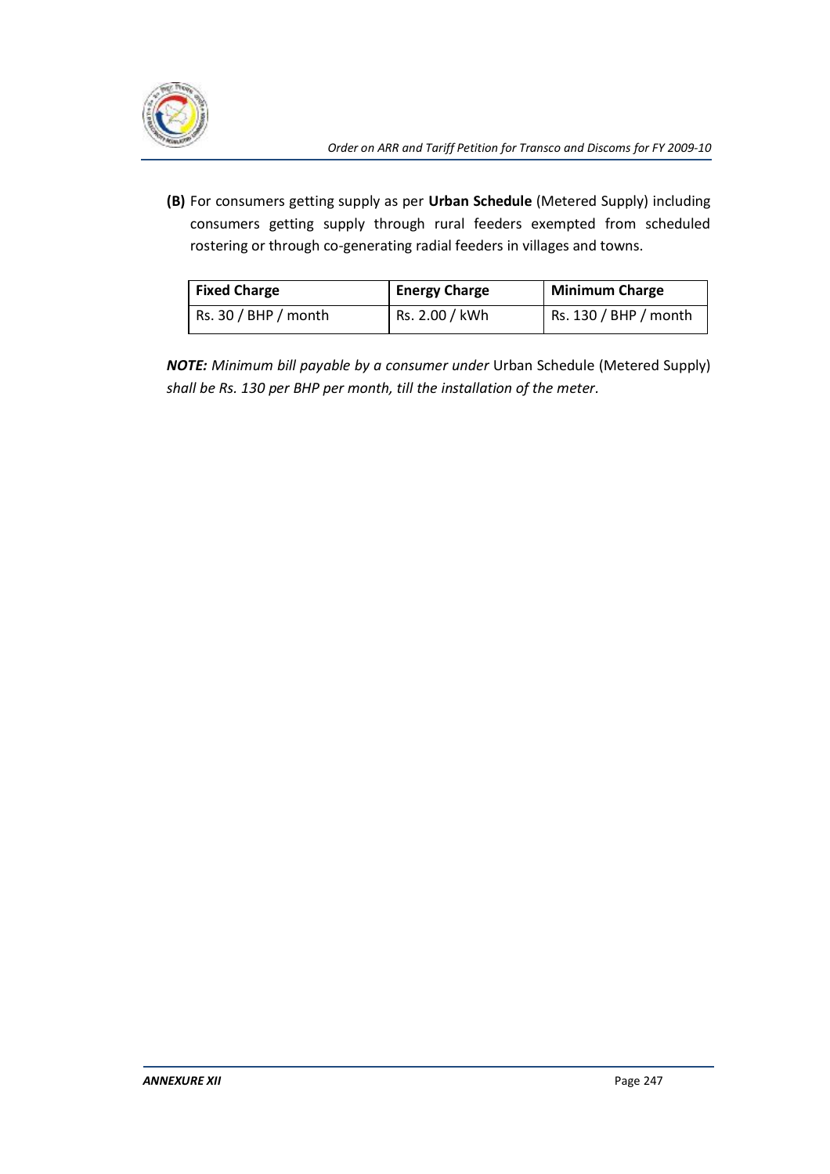

**(B)** For consumers getting supply as per **Urban Schedule** (Metered Supply) including consumers getting supply through rural feeders exempted from scheduled rostering or through co-generating radial feeders in villages and towns.

| <b>Fixed Charge</b>  | <b>Energy Charge</b> | Minimum Charge        |  |
|----------------------|----------------------|-----------------------|--|
| Rs. 30 / BHP / month | Rs. 2.00 / kWh       | Rs. 130 / BHP / month |  |

*NOTE: Minimum bill payable by a consumer under* Urban Schedule (Metered Supply) *shall be Rs. 130 per BHP per month, till the installation of the meter.*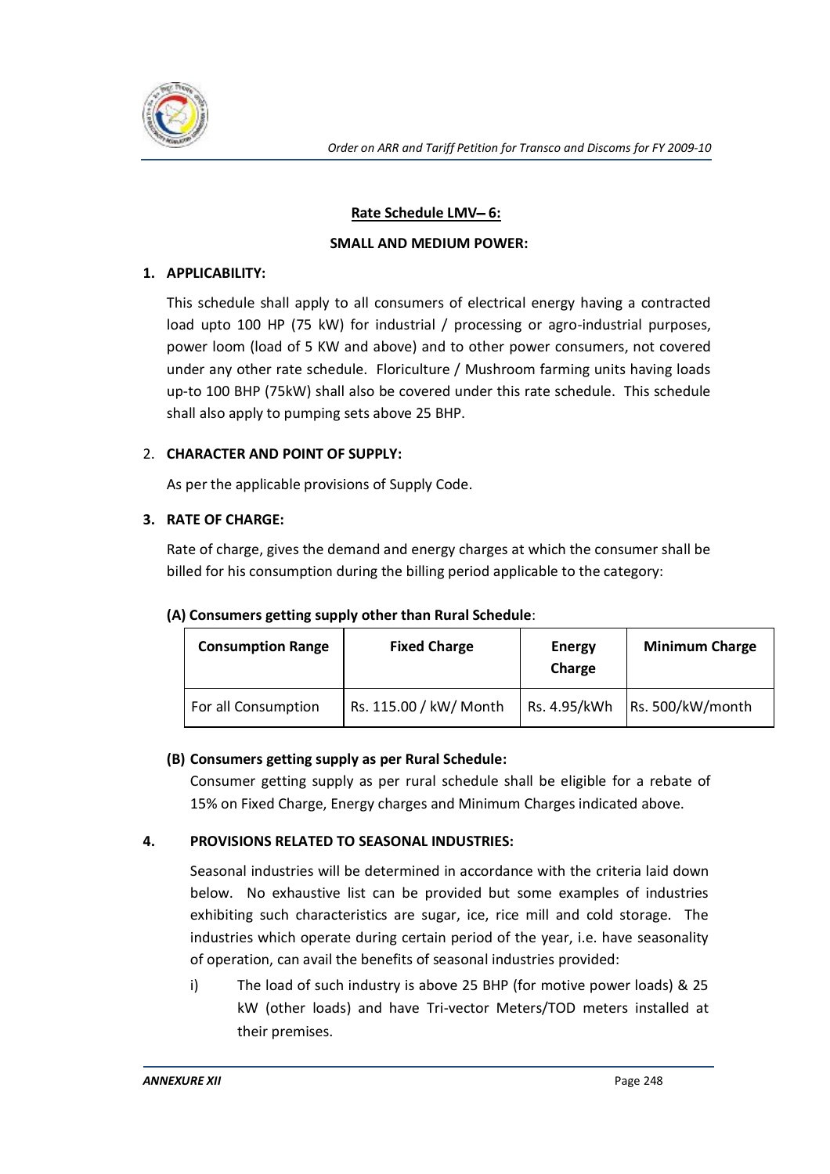

# **Rate Schedule LMV-6:**

## **SMALL AND MEDIUM POWER:**

## **1. APPLICABILITY:**

This schedule shall apply to all consumers of electrical energy having a contracted load upto 100 HP (75 kW) for industrial / processing or agro-industrial purposes, power loom (load of 5 KW and above) and to other power consumers, not covered under any other rate schedule. Floriculture / Mushroom farming units having loads up-to 100 BHP (75kW) shall also be covered under this rate schedule. This schedule shall also apply to pumping sets above 25 BHP.

# 2. **CHARACTER AND POINT OF SUPPLY:**

As per the applicable provisions of Supply Code.

# **3. RATE OF CHARGE:**

Rate of charge, gives the demand and energy charges at which the consumer shall be billed for his consumption during the billing period applicable to the category:

| <b>Consumption Range</b> | <b>Fixed Charge</b>    | Energy<br>Charge | <b>Minimum Charge</b>           |
|--------------------------|------------------------|------------------|---------------------------------|
| For all Consumption      | Rs. 115.00 / kW/ Month |                  | Rs. 4.95/kWh   Rs. 500/kW/month |

#### **(A) Consumers getting supply other than Rural Schedule**:

# **(B) Consumers getting supply as per Rural Schedule:**

Consumer getting supply as per rural schedule shall be eligible for a rebate of 15% on Fixed Charge, Energy charges and Minimum Charges indicated above.

# **4. PROVISIONS RELATED TO SEASONAL INDUSTRIES:**

Seasonal industries will be determined in accordance with the criteria laid down below. No exhaustive list can be provided but some examples of industries exhibiting such characteristics are sugar, ice, rice mill and cold storage. The industries which operate during certain period of the year, i.e. have seasonality of operation, can avail the benefits of seasonal industries provided:

i) The load of such industry is above 25 BHP (for motive power loads) & 25 kW (other loads) and have Tri-vector Meters/TOD meters installed at their premises.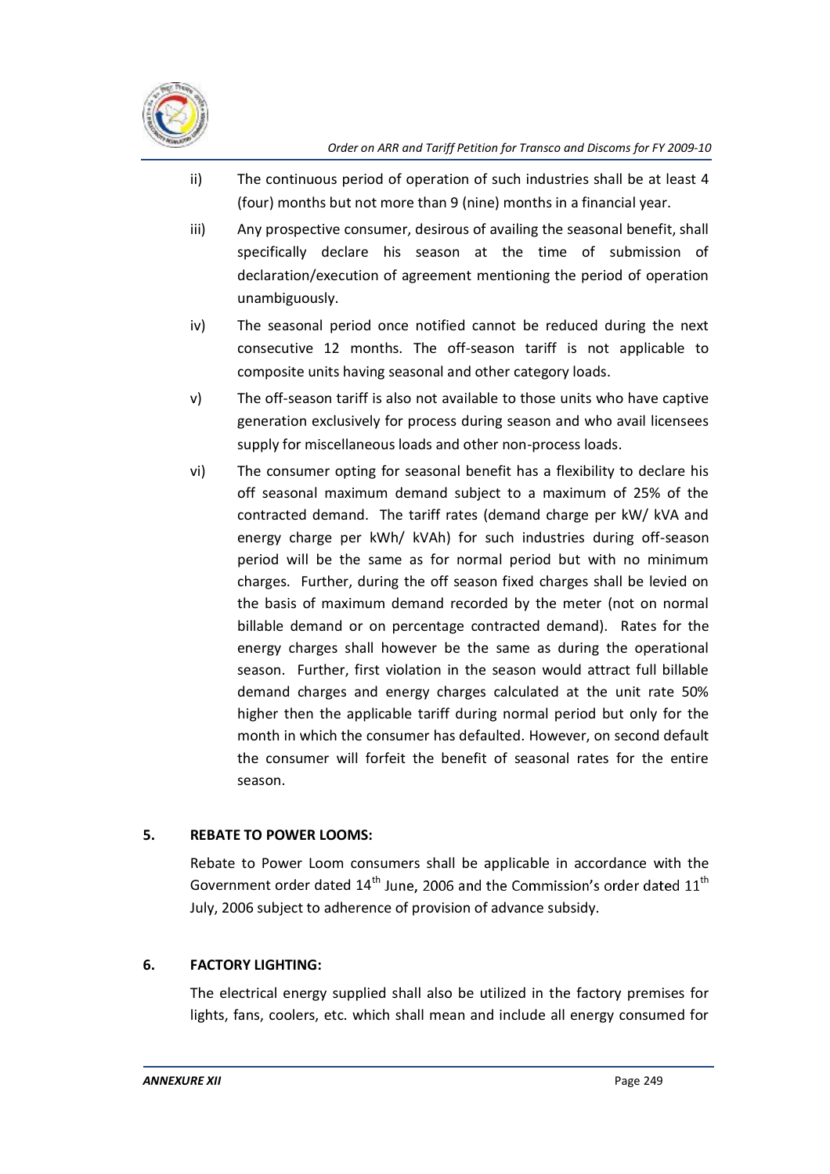

- ii) The continuous period of operation of such industries shall be at least 4 (four) months but not more than 9 (nine) months in a financial year.
- iii) Any prospective consumer, desirous of availing the seasonal benefit, shall specifically declare his season at the time of submission of declaration/execution of agreement mentioning the period of operation unambiguously.
- iv) The seasonal period once notified cannot be reduced during the next consecutive 12 months. The off-season tariff is not applicable to composite units having seasonal and other category loads.
- v) The off-season tariff is also not available to those units who have captive generation exclusively for process during season and who avail licensees supply for miscellaneous loads and other non-process loads.
- vi) The consumer opting for seasonal benefit has a flexibility to declare his off seasonal maximum demand subject to a maximum of 25% of the contracted demand. The tariff rates (demand charge per kW/ kVA and energy charge per kWh/ kVAh) for such industries during off-season period will be the same as for normal period but with no minimum charges. Further, during the off season fixed charges shall be levied on the basis of maximum demand recorded by the meter (not on normal billable demand or on percentage contracted demand). Rates for the energy charges shall however be the same as during the operational season. Further, first violation in the season would attract full billable demand charges and energy charges calculated at the unit rate 50% higher then the applicable tariff during normal period but only for the month in which the consumer has defaulted. However, on second default the consumer will forfeit the benefit of seasonal rates for the entire season.

# **5. REBATE TO POWER LOOMS:**

Rebate to Power Loom consumers shall be applicable in accordance with the Government order dated  $14<sup>th</sup>$  June, 2006 and the Commission's order dated  $11<sup>th</sup>$ July, 2006 subject to adherence of provision of advance subsidy.

# **6. FACTORY LIGHTING:**

The electrical energy supplied shall also be utilized in the factory premises for lights, fans, coolers, etc. which shall mean and include all energy consumed for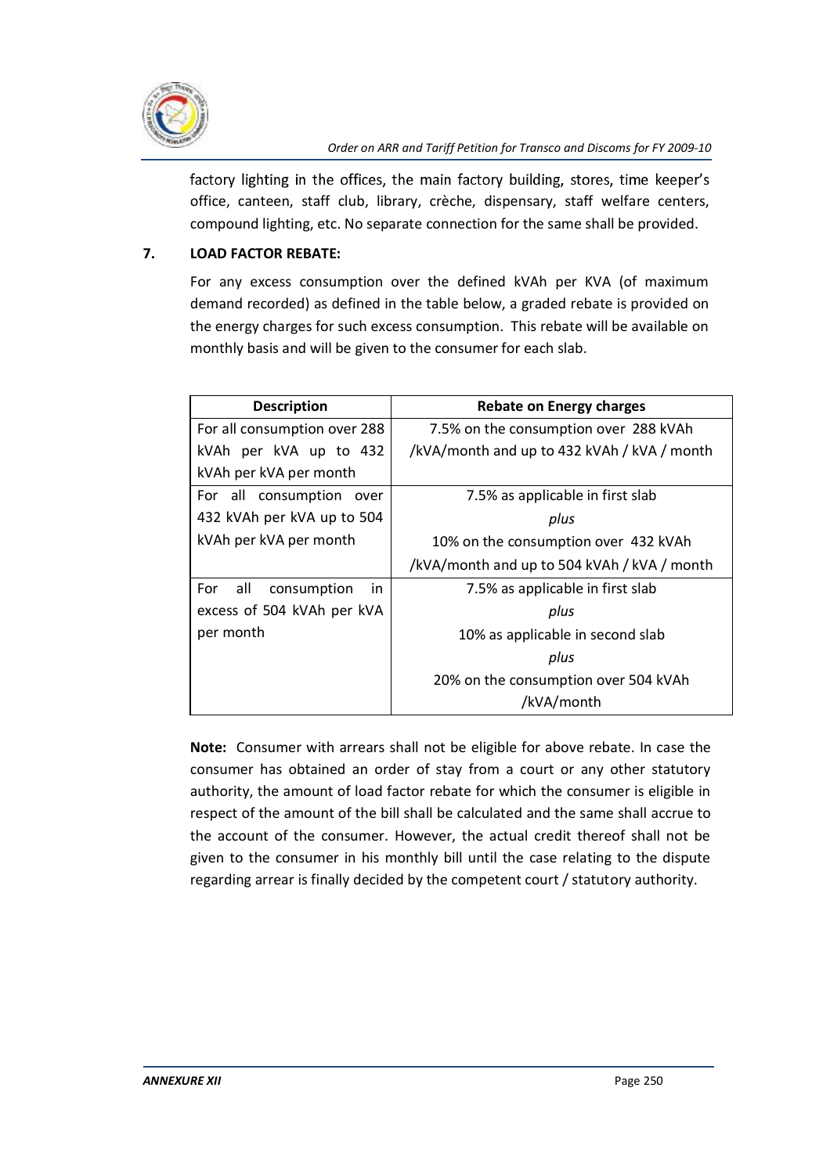

factory lighting in the offices, the main factory building, stores, time keeper's office, canteen, staff club, library, crèche, dispensary, staff welfare centers, compound lighting, etc. No separate connection for the same shall be provided.

# **7. LOAD FACTOR REBATE:**

For any excess consumption over the defined kVAh per KVA (of maximum demand recorded) as defined in the table below, a graded rebate is provided on the energy charges for such excess consumption. This rebate will be available on monthly basis and will be given to the consumer for each slab.

| <b>Description</b>               | <b>Rebate on Energy charges</b>             |  |
|----------------------------------|---------------------------------------------|--|
| For all consumption over 288     | 7.5% on the consumption over 288 kVAh       |  |
| kVAh per kVA up to 432           | /kVA/month and up to 432 kVAh / kVA / month |  |
| kVAh per kVA per month           |                                             |  |
| For all consumption<br>over      | 7.5% as applicable in first slab            |  |
| 432 kVAh per kVA up to 504       | plus                                        |  |
| kVAh per kVA per month           | 10% on the consumption over 432 kVAh        |  |
|                                  | /kVA/month and up to 504 kVAh / kVA / month |  |
| all<br>For<br>consumption<br>in. | 7.5% as applicable in first slab            |  |
| excess of 504 kVAh per kVA       | plus                                        |  |
| per month                        | 10% as applicable in second slab            |  |
|                                  | plus                                        |  |
|                                  | 20% on the consumption over 504 kVAh        |  |
|                                  | /kVA/month                                  |  |

**Note:** Consumer with arrears shall not be eligible for above rebate. In case the consumer has obtained an order of stay from a court or any other statutory authority, the amount of load factor rebate for which the consumer is eligible in respect of the amount of the bill shall be calculated and the same shall accrue to the account of the consumer. However, the actual credit thereof shall not be given to the consumer in his monthly bill until the case relating to the dispute regarding arrear is finally decided by the competent court / statutory authority.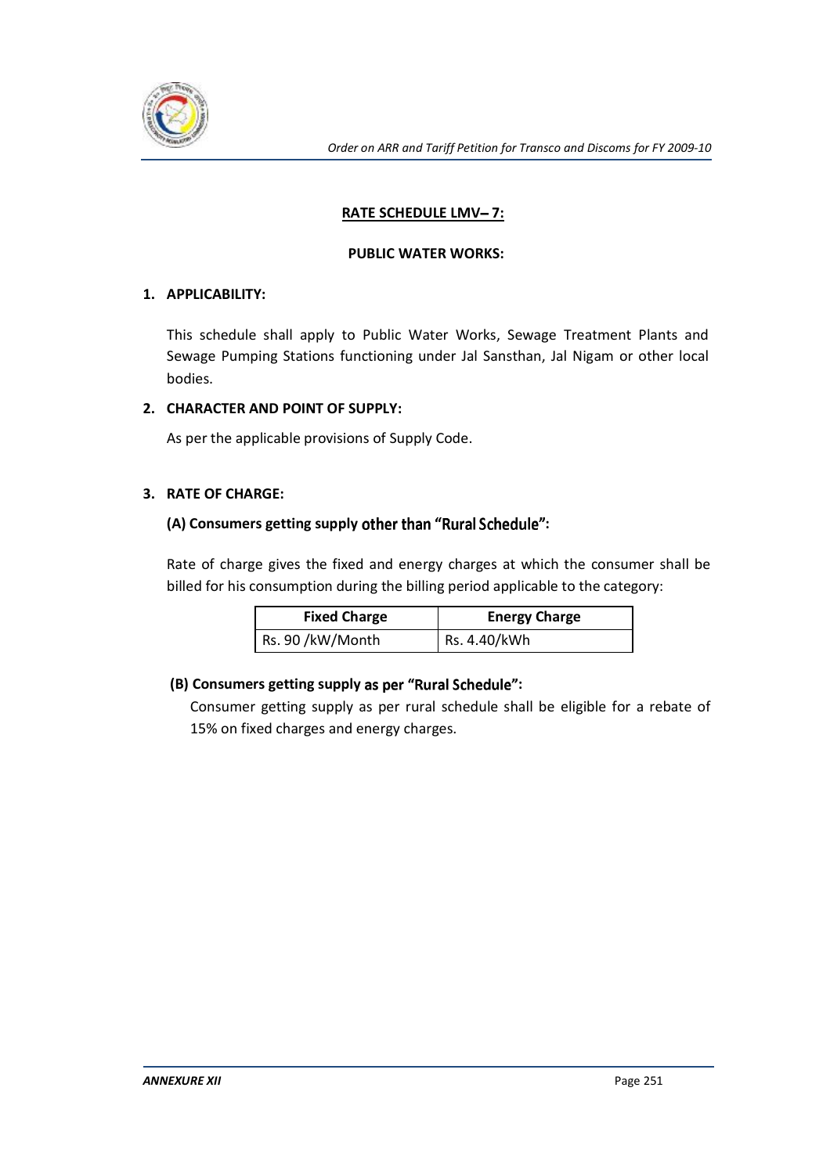

# **RATE SCHEDULE LMV-7:**

#### **PUBLIC WATER WORKS:**

## **1. APPLICABILITY:**

This schedule shall apply to Public Water Works, Sewage Treatment Plants and Sewage Pumping Stations functioning under Jal Sansthan, Jal Nigam or other local bodies.

## **2. CHARACTER AND POINT OF SUPPLY:**

As per the applicable provisions of Supply Code.

## **3. RATE OF CHARGE:**

# (A) Consumers getting supply other than "Rural Schedule":

Rate of charge gives the fixed and energy charges at which the consumer shall be billed for his consumption during the billing period applicable to the category:

| <b>Fixed Charge</b> | <b>Energy Charge</b> |
|---------------------|----------------------|
| Rs. 90 /kW/Month    | Rs. 4.40/kWh         |

# **(B) Consumers getting supply :**

Consumer getting supply as per rural schedule shall be eligible for a rebate of 15% on fixed charges and energy charges.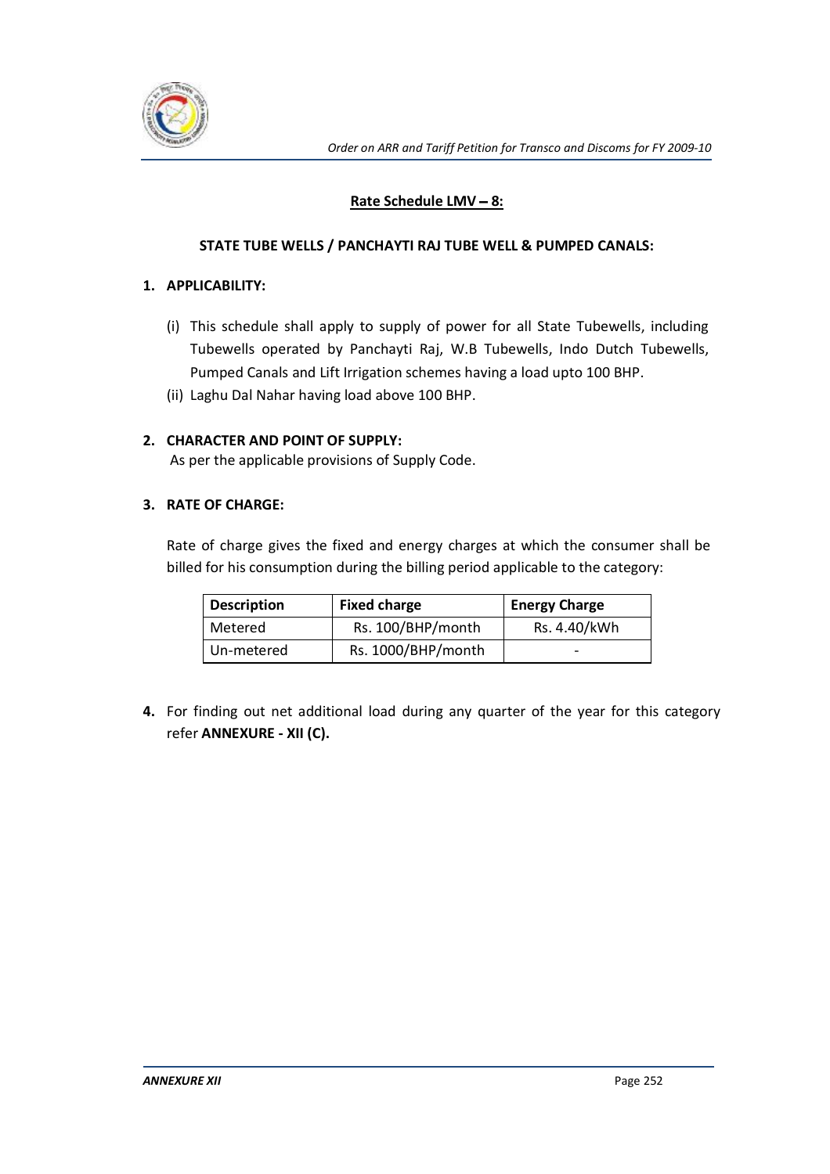

# **Rate Schedule LMV - 8:**

#### **STATE TUBE WELLS / PANCHAYTI RAJ TUBE WELL & PUMPED CANALS:**

#### **1. APPLICABILITY:**

- (i) This schedule shall apply to supply of power for all State Tubewells, including Tubewells operated by Panchayti Raj, W.B Tubewells, Indo Dutch Tubewells, Pumped Canals and Lift Irrigation schemes having a load upto 100 BHP.
- (ii) Laghu Dal Nahar having load above 100 BHP.

#### **2. CHARACTER AND POINT OF SUPPLY:**

As per the applicable provisions of Supply Code.

#### **3. RATE OF CHARGE:**

Rate of charge gives the fixed and energy charges at which the consumer shall be billed for his consumption during the billing period applicable to the category:

| <b>Description</b> | <b>Fixed charge</b> | <b>Energy Charge</b>     |
|--------------------|---------------------|--------------------------|
| Metered            | Rs. 100/BHP/month   | Rs. 4.40/kWh             |
| Un-metered         | Rs. 1000/BHP/month  | $\overline{\phantom{0}}$ |

**4.** For finding out net additional load during any quarter of the year for this category refer **ANNEXURE - XII (C).**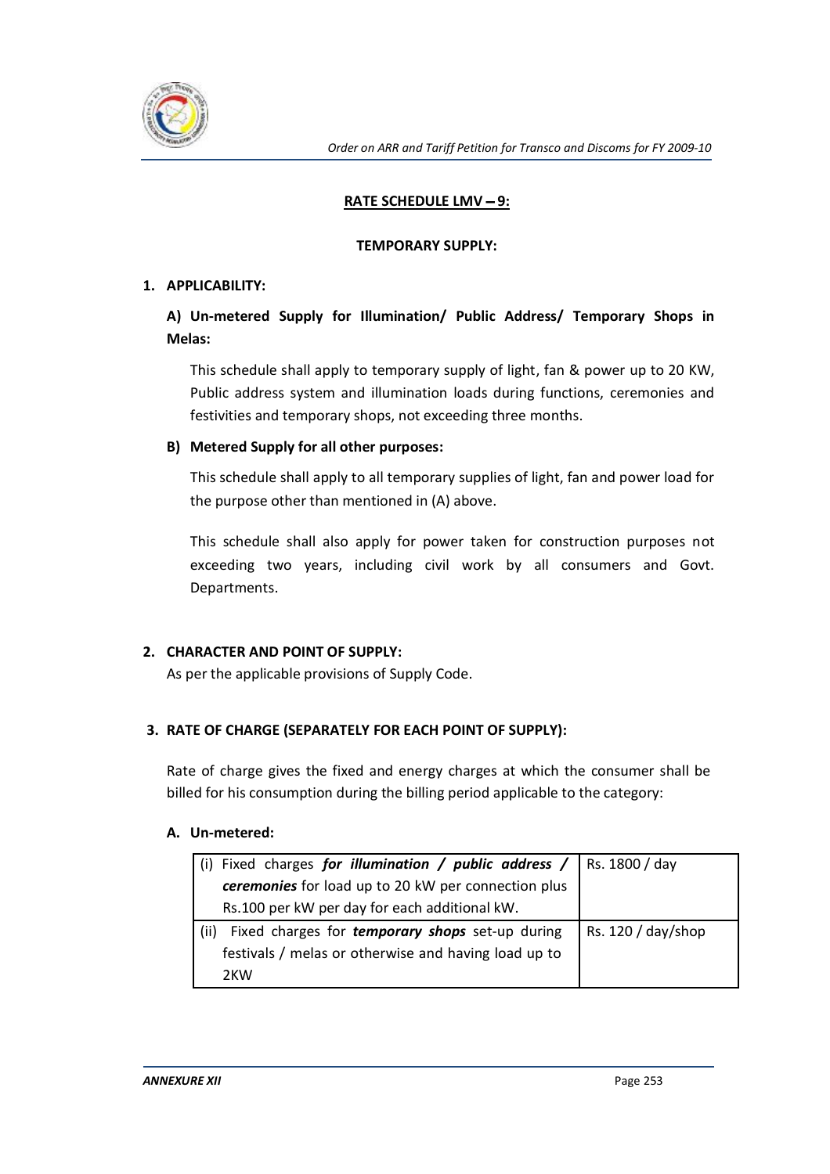

# **RATE SCHEDULE LMV - 9:**

## **TEMPORARY SUPPLY:**

# **1. APPLICABILITY:**

# **A) Un-metered Supply for Illumination/ Public Address/ Temporary Shops in Melas:**

This schedule shall apply to temporary supply of light, fan & power up to 20 KW, Public address system and illumination loads during functions, ceremonies and festivities and temporary shops, not exceeding three months.

# **B) Metered Supply for all other purposes:**

This schedule shall apply to all temporary supplies of light, fan and power load for the purpose other than mentioned in (A) above.

This schedule shall also apply for power taken for construction purposes not exceeding two years, including civil work by all consumers and Govt. Departments.

# **2. CHARACTER AND POINT OF SUPPLY:**

As per the applicable provisions of Supply Code.

# **3. RATE OF CHARGE (SEPARATELY FOR EACH POINT OF SUPPLY):**

Rate of charge gives the fixed and energy charges at which the consumer shall be billed for his consumption during the billing period applicable to the category:

#### **A. Un-metered:**

| (i) Fixed charges for illumination / public address / $\vert$ Rs. 1800/day |                      |
|----------------------------------------------------------------------------|----------------------|
| ceremonies for load up to 20 kW per connection plus                        |                      |
| Rs.100 per kW per day for each additional kW.                              |                      |
| Fixed charges for <b>temporary shops</b> set-up during<br>(ii)             | Rs. $120 / day/shop$ |
| festivals / melas or otherwise and having load up to                       |                      |
|                                                                            |                      |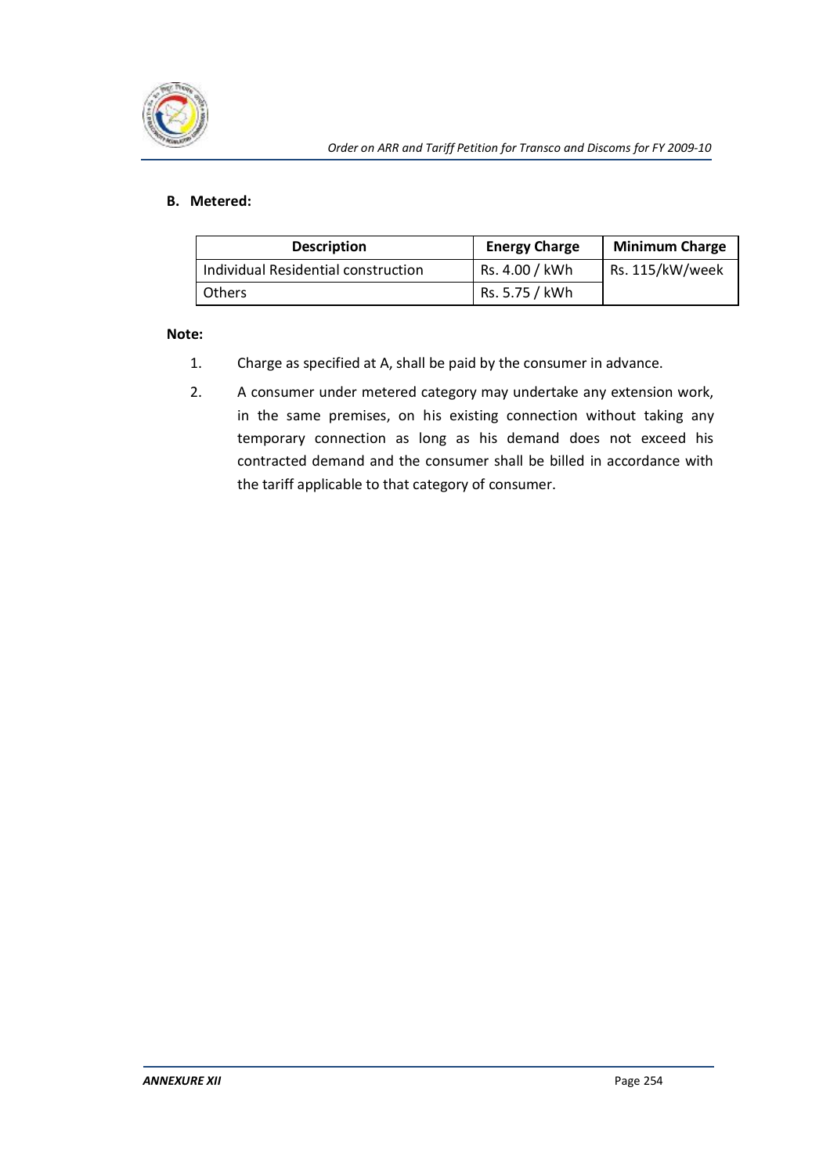

#### **B. Metered:**

| <b>Description</b>                  | <b>Energy Charge</b> | <b>Minimum Charge</b> |
|-------------------------------------|----------------------|-----------------------|
| Individual Residential construction | Rs. 4.00 / kWh       | Rs. 115/kW/week       |
| <b>Others</b>                       | Rs. 5.75 / kWh       |                       |

#### **Note:**

- 1. Charge as specified at A, shall be paid by the consumer in advance.
- 2. A consumer under metered category may undertake any extension work, in the same premises, on his existing connection without taking any temporary connection as long as his demand does not exceed his contracted demand and the consumer shall be billed in accordance with the tariff applicable to that category of consumer.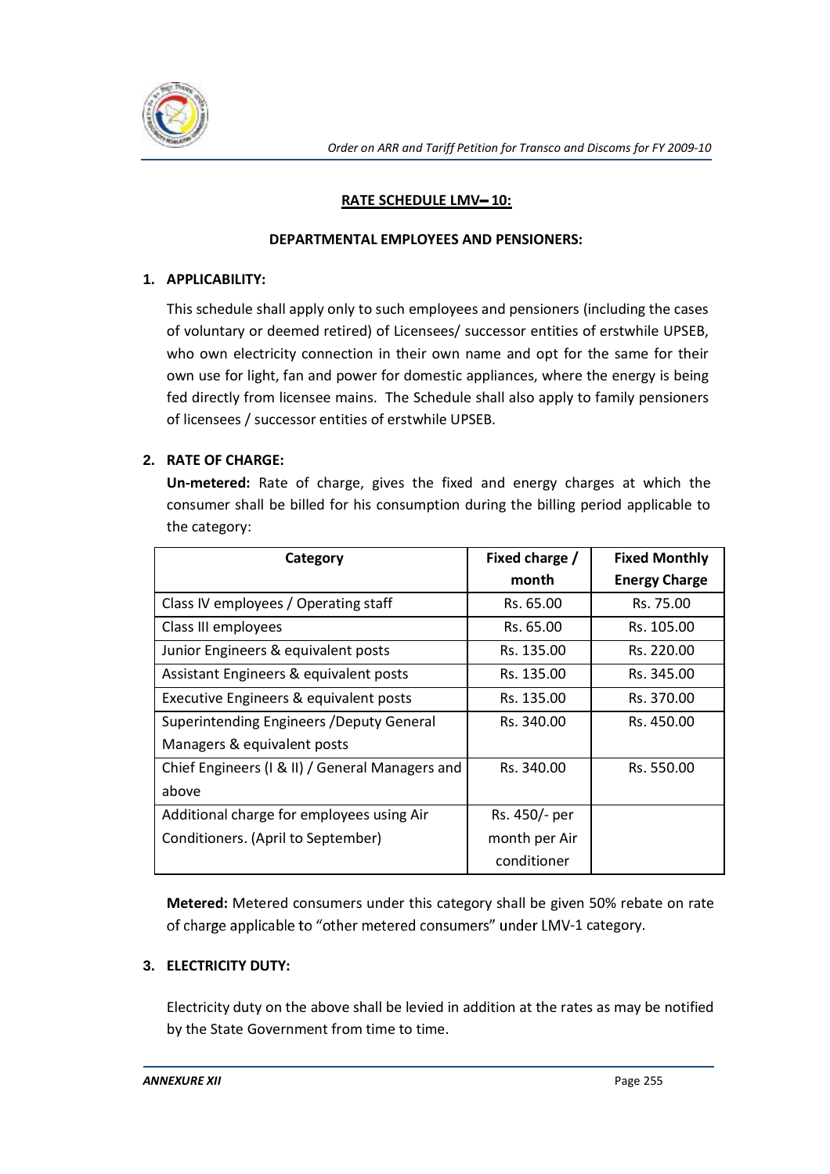

# **RATE SCHEDULE LMV-10:**

#### **DEPARTMENTAL EMPLOYEES AND PENSIONERS:**

## **1. APPLICABILITY:**

This schedule shall apply only to such employees and pensioners (including the cases of voluntary or deemed retired) of Licensees/ successor entities of erstwhile UPSEB, who own electricity connection in their own name and opt for the same for their own use for light, fan and power for domestic appliances, where the energy is being fed directly from licensee mains. The Schedule shall also apply to family pensioners of licensees / successor entities of erstwhile UPSEB.

# **2. RATE OF CHARGE:**

**Un-metered:** Rate of charge, gives the fixed and energy charges at which the consumer shall be billed for his consumption during the billing period applicable to the category:

| Category                                        | Fixed charge / | <b>Fixed Monthly</b> |
|-------------------------------------------------|----------------|----------------------|
|                                                 | month          | <b>Energy Charge</b> |
| Class IV employees / Operating staff            | Rs. 65.00      | Rs. 75.00            |
| Class III employees                             | Rs. 65.00      | Rs. 105.00           |
| Junior Engineers & equivalent posts             | Rs. 135.00     | Rs. 220.00           |
| Assistant Engineers & equivalent posts          | Rs. 135.00     | Rs. 345.00           |
| Executive Engineers & equivalent posts          | Rs. 135.00     | Rs. 370.00           |
| Superintending Engineers / Deputy General       | Rs. 340.00     | Rs. 450.00           |
| Managers & equivalent posts                     |                |                      |
| Chief Engineers (I & II) / General Managers and | Rs. 340.00     | Rs. 550.00           |
| above                                           |                |                      |
| Additional charge for employees using Air       | Rs. 450/- per  |                      |
| Conditioners. (April to September)              | month per Air  |                      |
|                                                 | conditioner    |                      |

**Metered:** Metered consumers under this category shall be given 50% rebate on rate of charge applicable to "other metered consumers" under LMV-1 category.

# **3. ELECTRICITY DUTY:**

Electricity duty on the above shall be levied in addition at the rates as may be notified by the State Government from time to time.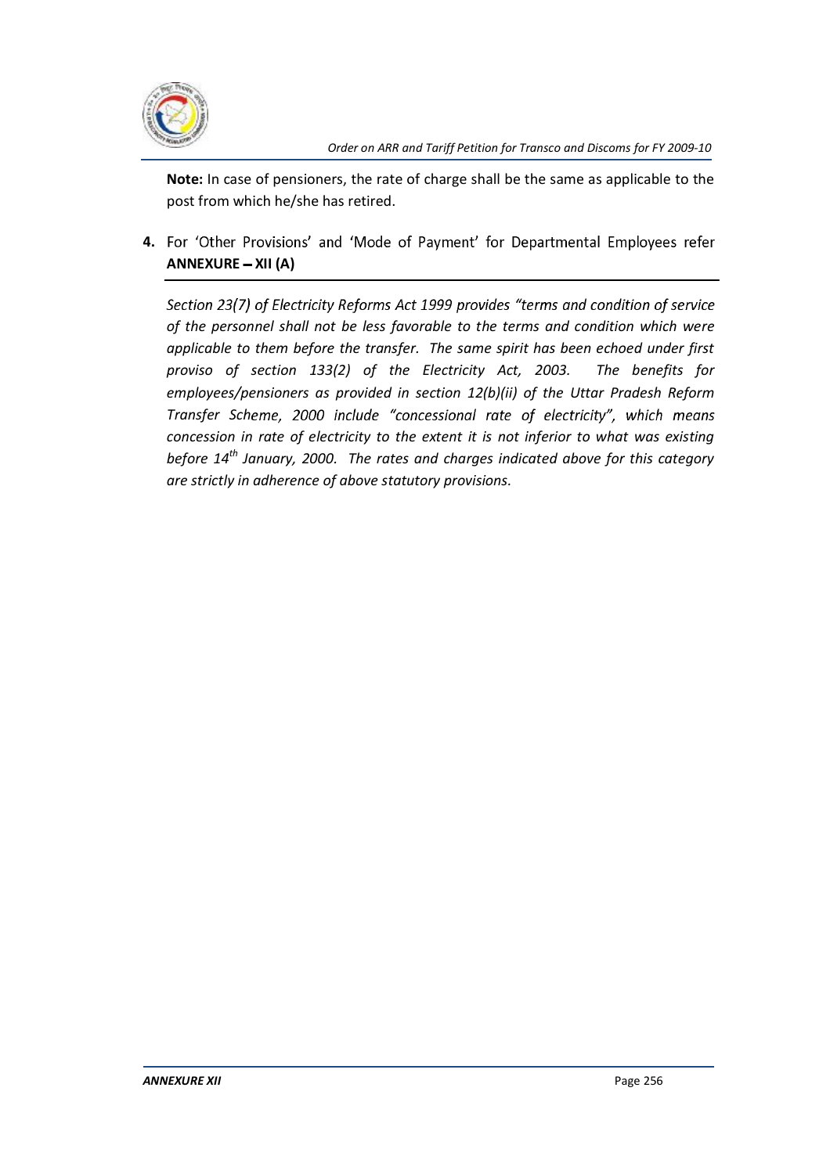

**Note:** In case of pensioners, the rate of charge shall be the same as applicable to the post from which he/she has retired.

4. For 'Other Provisions' and 'Mode of Payment' for Departmental Employees refer ANNEXURE - XII (A)

Section 23(7) of Electricity Reforms Act 1999 provides "terms and condition of service *of the personnel shall not be less favorable to the terms and condition which were applicable to them before the transfer. The same spirit has been echoed under first proviso of section 133(2) of the Electricity Act, 2003. The benefits for employees/pensioners as provided in section 12(b)(ii) of the Uttar Pradesh Reform Transfer Sch concession in rate of electricity to the extent it is not inferior to what was existing before 14th January, 2000. The rates and charges indicated above for this category are strictly in adherence of above statutory provisions.*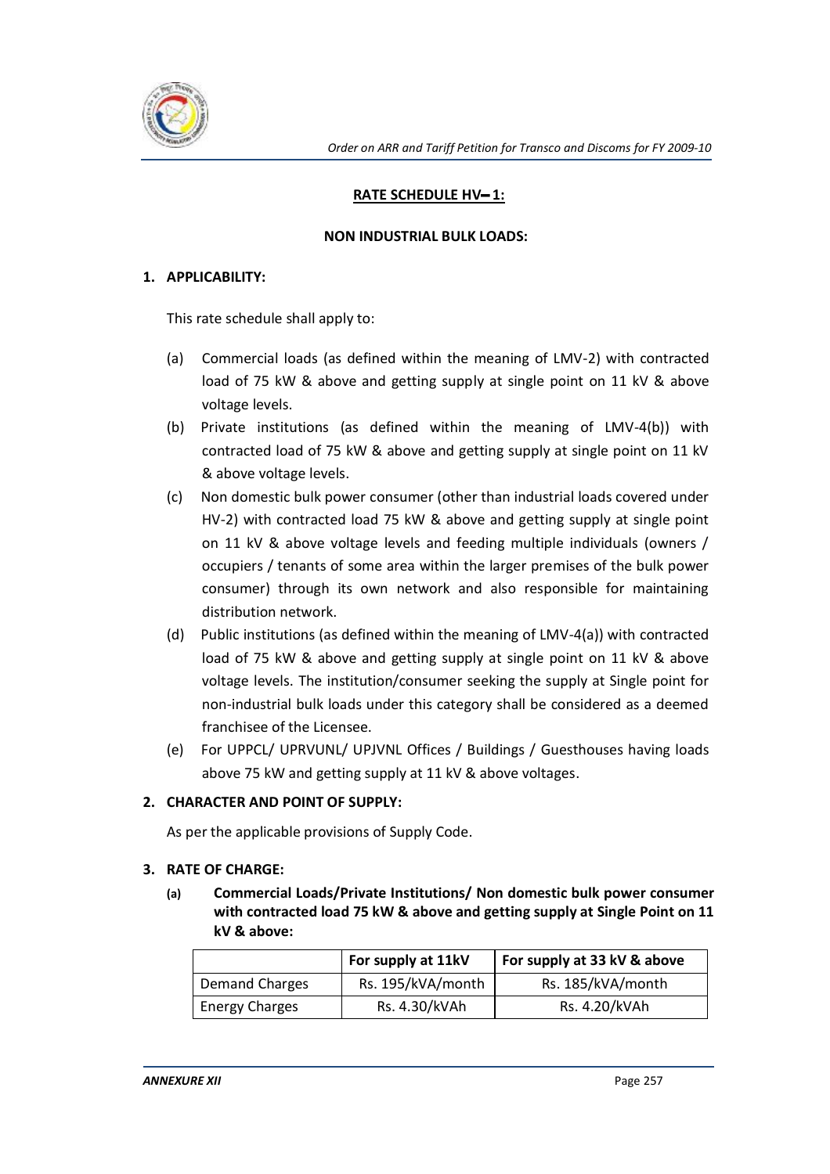

# **RATE SCHEDULE HV-1:**

#### **NON INDUSTRIAL BULK LOADS:**

## **1. APPLICABILITY:**

This rate schedule shall apply to:

- (a) Commercial loads (as defined within the meaning of LMV-2) with contracted load of 75 kW & above and getting supply at single point on 11 kV & above voltage levels.
- (b) Private institutions (as defined within the meaning of LMV-4(b)) with contracted load of 75 kW & above and getting supply at single point on 11 kV & above voltage levels.
- (c) Non domestic bulk power consumer (other than industrial loads covered under HV-2) with contracted load 75 kW & above and getting supply at single point on 11 kV & above voltage levels and feeding multiple individuals (owners / occupiers / tenants of some area within the larger premises of the bulk power consumer) through its own network and also responsible for maintaining distribution network.
- (d) Public institutions (as defined within the meaning of LMV-4(a)) with contracted load of 75 kW & above and getting supply at single point on 11 kV & above voltage levels. The institution/consumer seeking the supply at Single point for non-industrial bulk loads under this category shall be considered as a deemed franchisee of the Licensee.
- (e) For UPPCL/ UPRVUNL/ UPJVNL Offices / Buildings / Guesthouses having loads above 75 kW and getting supply at 11 kV & above voltages.

# **2. CHARACTER AND POINT OF SUPPLY:**

As per the applicable provisions of Supply Code.

#### **3. RATE OF CHARGE:**

**(a) Commercial Loads/Private Institutions/ Non domestic bulk power consumer with contracted load 75 kW & above and getting supply at Single Point on 11 kV & above:** 

|                       | For supply at 11kV | For supply at 33 kV & above |  |
|-----------------------|--------------------|-----------------------------|--|
| <b>Demand Charges</b> | Rs. 195/kVA/month  | Rs. 185/kVA/month           |  |
| <b>Energy Charges</b> | Rs. 4.30/kVAh      | Rs. 4.20/kVAh               |  |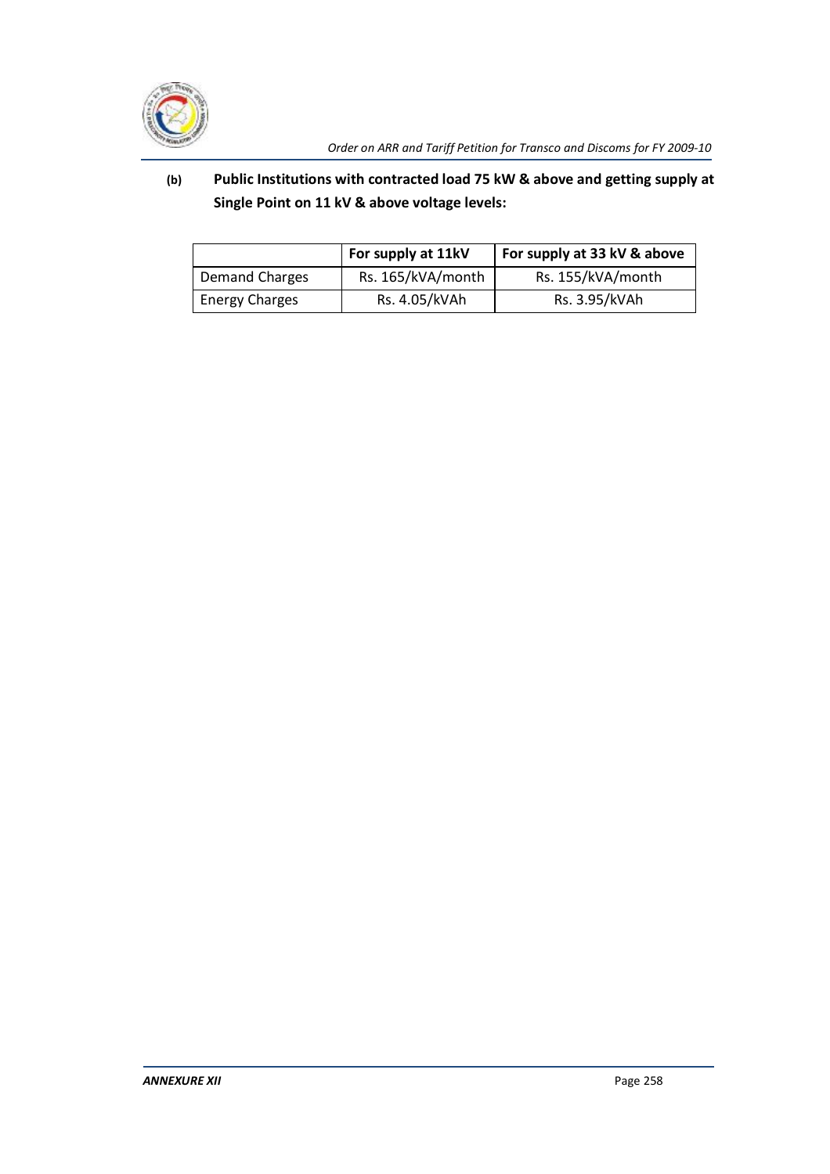

# **(b) Public Institutions with contracted load 75 kW & above and getting supply at Single Point on 11 kV & above voltage levels:**

|                       | For supply at 11kV | For supply at 33 kV & above |  |
|-----------------------|--------------------|-----------------------------|--|
| Demand Charges        | Rs. 165/kVA/month  | Rs. 155/kVA/month           |  |
| <b>Energy Charges</b> | Rs. 4.05/kVAh      | Rs. 3.95/kVAh               |  |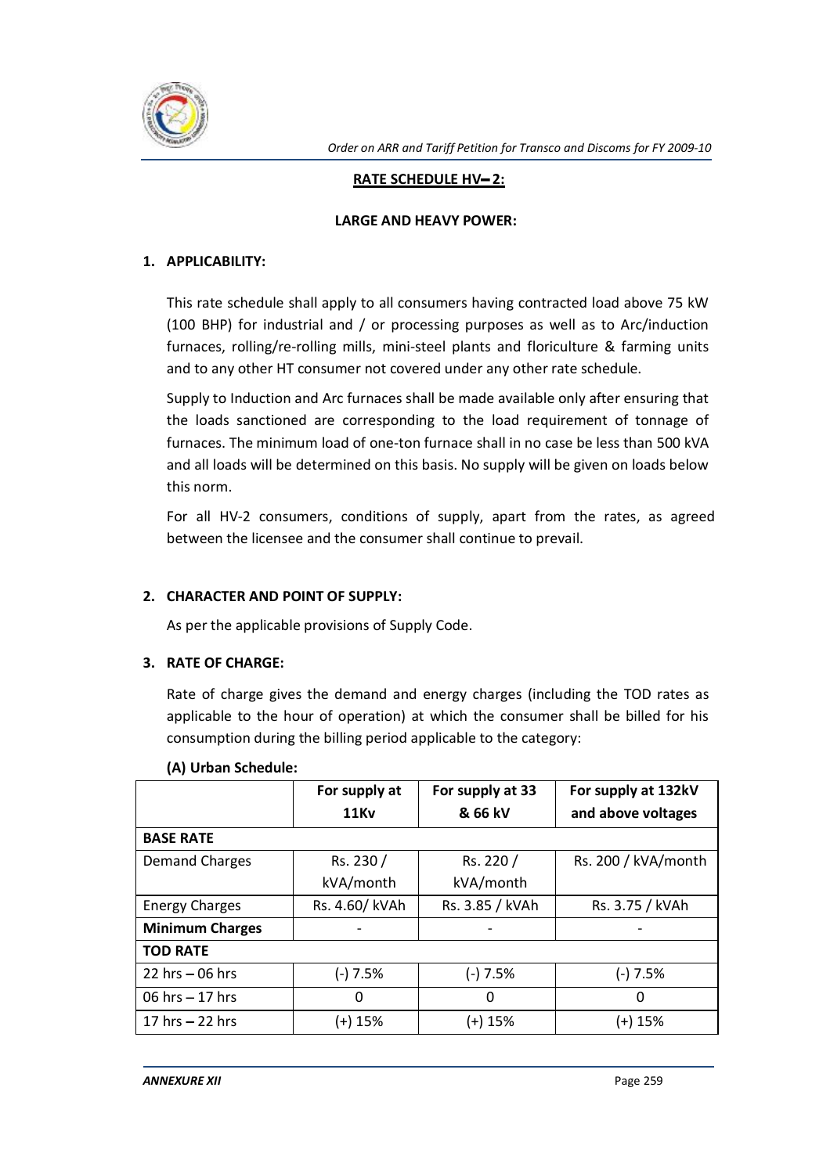

## **RATE SCHEDULE HV-2:**

#### **LARGE AND HEAVY POWER:**

# **1. APPLICABILITY:**

This rate schedule shall apply to all consumers having contracted load above 75 kW (100 BHP) for industrial and / or processing purposes as well as to Arc/induction furnaces, rolling/re-rolling mills, mini-steel plants and floriculture & farming units and to any other HT consumer not covered under any other rate schedule.

Supply to Induction and Arc furnaces shall be made available only after ensuring that the loads sanctioned are corresponding to the load requirement of tonnage of furnaces. The minimum load of one-ton furnace shall in no case be less than 500 kVA and all loads will be determined on this basis. No supply will be given on loads below this norm.

For all HV-2 consumers, conditions of supply, apart from the rates, as agreed between the licensee and the consumer shall continue to prevail.

## **2. CHARACTER AND POINT OF SUPPLY:**

As per the applicable provisions of Supply Code.

#### **3. RATE OF CHARGE:**

Rate of charge gives the demand and energy charges (including the TOD rates as applicable to the hour of operation) at which the consumer shall be billed for his consumption during the billing period applicable to the category:

|                        | For supply at  | For supply at 33 | For supply at 132kV |
|------------------------|----------------|------------------|---------------------|
|                        | <b>11Kv</b>    | & 66 kV          | and above voltages  |
| <b>BASE RATE</b>       |                |                  |                     |
| <b>Demand Charges</b>  | Rs. 230 /      | Rs. 220 /        | Rs. 200 / kVA/month |
|                        | kVA/month      | kVA/month        |                     |
| <b>Energy Charges</b>  | Rs. 4.60/ kVAh | Rs. 3.85 / kVAh  | Rs. 3.75 / kVAh     |
| <b>Minimum Charges</b> |                |                  |                     |
| <b>TOD RATE</b>        |                |                  |                     |
| 22 hrs $-06$ hrs       | $(-) 7.5%$     | (-) 7.5%         | $(-) 7.5%$          |
| 06 hrs $-17$ hrs       | 0              | 0                | 0                   |
| 17 hrs $-22$ hrs       | (+) 15%        | (+) 15%          | (+) 15%             |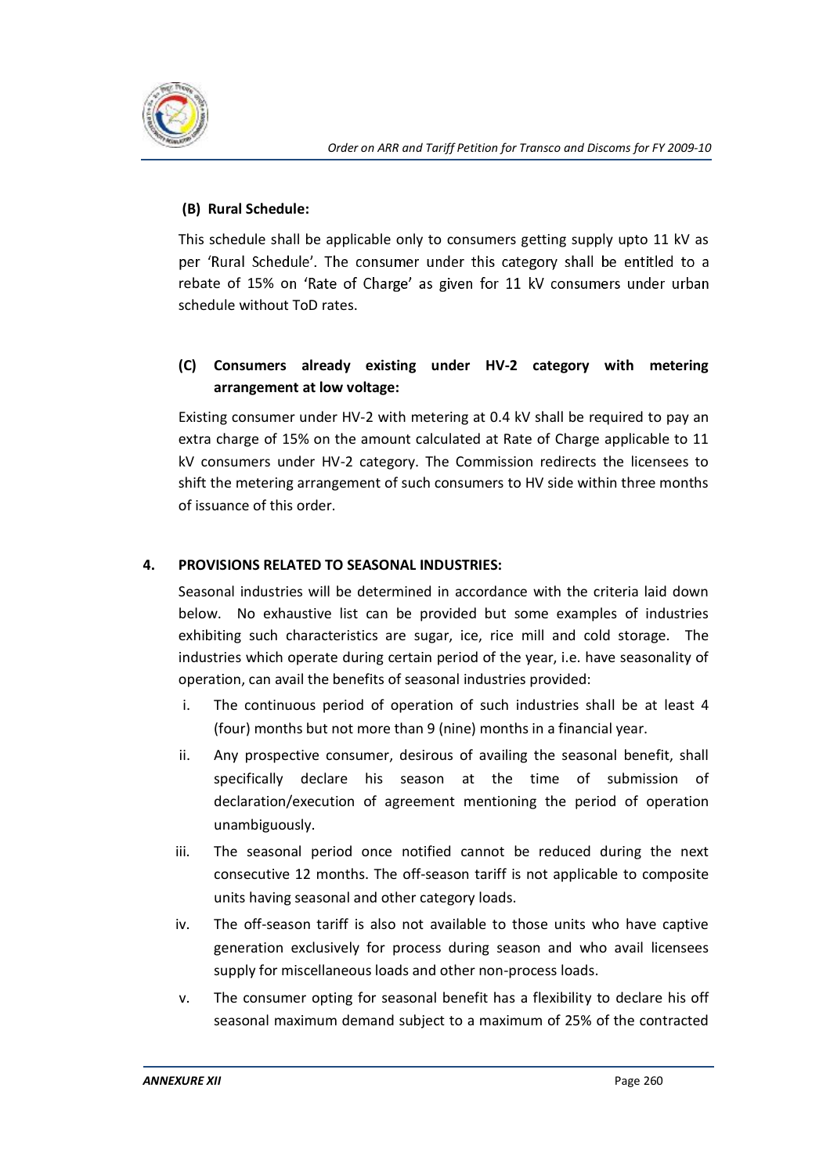

## **(B) Rural Schedule:**

This schedule shall be applicable only to consumers getting supply upto 11 kV as per 'Rural Schedule'. The consumer under this category shall be entitled to a rebate of 15% on 'Rate of Charge' as given for 11 kV consumers under urban schedule without ToD rates.

# **(C) Consumers already existing under HV-2 category with metering arrangement at low voltage:**

Existing consumer under HV-2 with metering at 0.4 kV shall be required to pay an extra charge of 15% on the amount calculated at Rate of Charge applicable to 11 kV consumers under HV-2 category. The Commission redirects the licensees to shift the metering arrangement of such consumers to HV side within three months of issuance of this order.

# **4. PROVISIONS RELATED TO SEASONAL INDUSTRIES:**

Seasonal industries will be determined in accordance with the criteria laid down below. No exhaustive list can be provided but some examples of industries exhibiting such characteristics are sugar, ice, rice mill and cold storage. The industries which operate during certain period of the year, i.e. have seasonality of operation, can avail the benefits of seasonal industries provided:

- i. The continuous period of operation of such industries shall be at least 4 (four) months but not more than 9 (nine) months in a financial year.
- ii. Any prospective consumer, desirous of availing the seasonal benefit, shall specifically declare his season at the time of submission of declaration/execution of agreement mentioning the period of operation unambiguously.
- iii. The seasonal period once notified cannot be reduced during the next consecutive 12 months. The off-season tariff is not applicable to composite units having seasonal and other category loads.
- iv. The off-season tariff is also not available to those units who have captive generation exclusively for process during season and who avail licensees supply for miscellaneous loads and other non-process loads.
- v. The consumer opting for seasonal benefit has a flexibility to declare his off seasonal maximum demand subject to a maximum of 25% of the contracted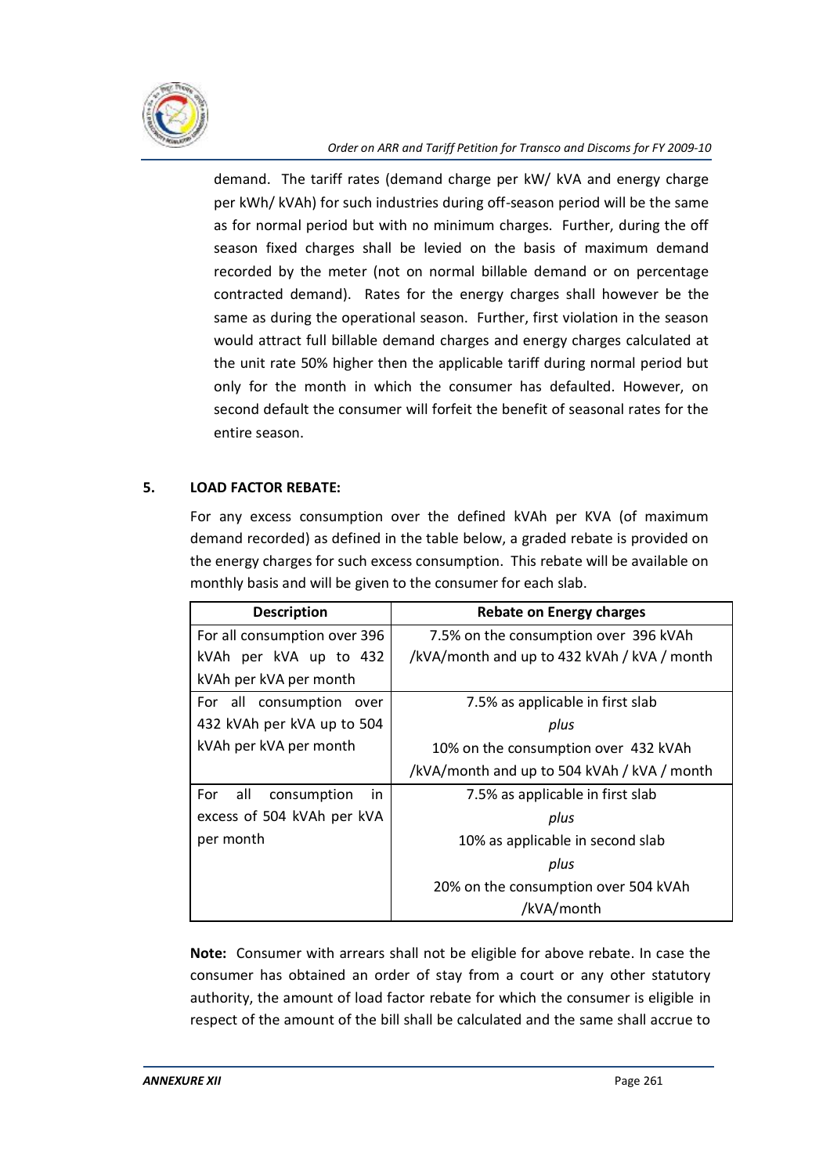

demand. The tariff rates (demand charge per kW/ kVA and energy charge per kWh/ kVAh) for such industries during off-season period will be the same as for normal period but with no minimum charges. Further, during the off season fixed charges shall be levied on the basis of maximum demand recorded by the meter (not on normal billable demand or on percentage contracted demand). Rates for the energy charges shall however be the same as during the operational season. Further, first violation in the season would attract full billable demand charges and energy charges calculated at the unit rate 50% higher then the applicable tariff during normal period but only for the month in which the consumer has defaulted. However, on second default the consumer will forfeit the benefit of seasonal rates for the entire season.

# **5. LOAD FACTOR REBATE:**

For any excess consumption over the defined kVAh per KVA (of maximum demand recorded) as defined in the table below, a graded rebate is provided on the energy charges for such excess consumption. This rebate will be available on monthly basis and will be given to the consumer for each slab.

| <b>Description</b>               | Rebate on Energy charges                    |  |
|----------------------------------|---------------------------------------------|--|
| For all consumption over 396     | 7.5% on the consumption over 396 kVAh       |  |
| kVAh per kVA up to 432           | /kVA/month and up to 432 kVAh / kVA / month |  |
| kVAh per kVA per month           |                                             |  |
| For all consumption<br>over      | 7.5% as applicable in first slab            |  |
| 432 kVAh per kVA up to 504       | plus                                        |  |
| kVAh per kVA per month           | 10% on the consumption over 432 kVAh        |  |
|                                  | /kVA/month and up to 504 kVAh / kVA / month |  |
| all<br>For<br>consumption<br>in. | 7.5% as applicable in first slab            |  |
| excess of 504 kVAh per kVA       | plus                                        |  |
| per month                        | 10% as applicable in second slab            |  |
|                                  | plus                                        |  |
|                                  | 20% on the consumption over 504 kVAh        |  |
|                                  | /kVA/month                                  |  |

**Note:** Consumer with arrears shall not be eligible for above rebate. In case the consumer has obtained an order of stay from a court or any other statutory authority, the amount of load factor rebate for which the consumer is eligible in respect of the amount of the bill shall be calculated and the same shall accrue to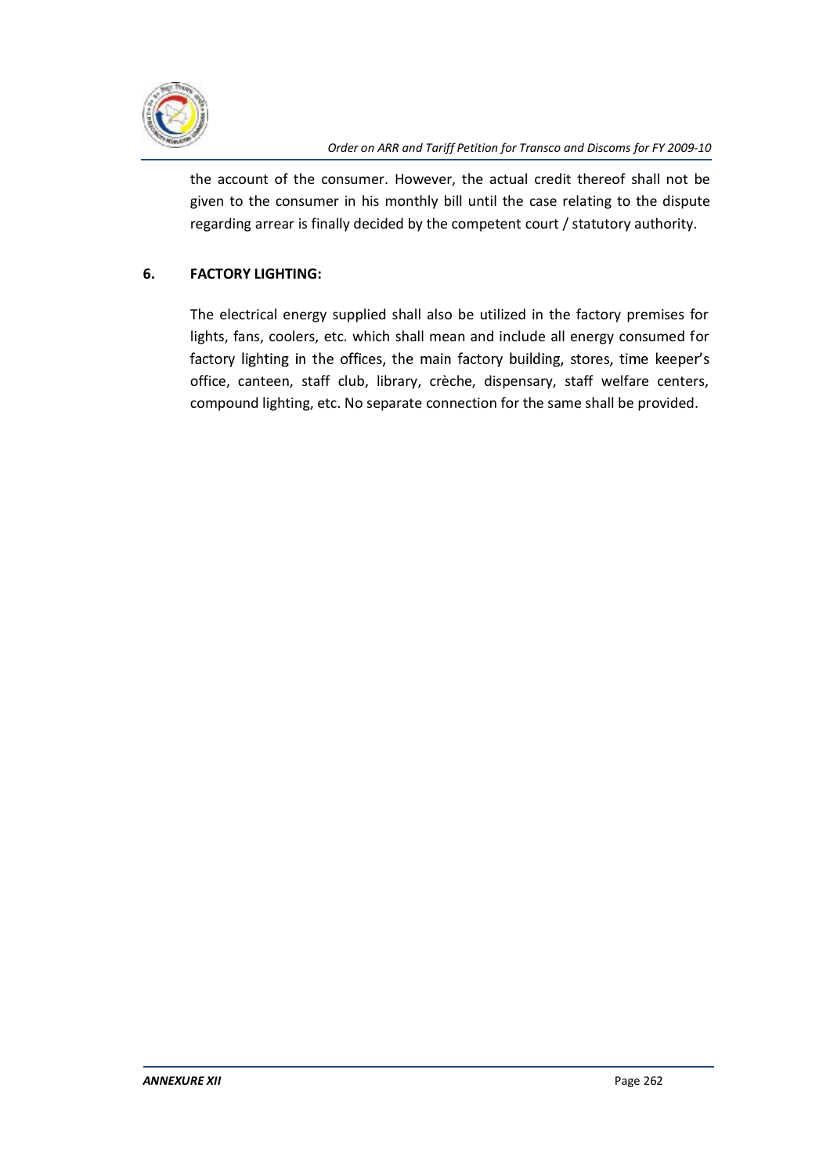

the account of the consumer. However, the actual credit thereof shall not be given to the consumer in his monthly bill until the case relating to the dispute regarding arrear is finally decided by the competent court / statutory authority.

# **6. FACTORY LIGHTING:**

The electrical energy supplied shall also be utilized in the factory premises for lights, fans, coolers, etc. which shall mean and include all energy consumed for factory lighting in the offices, the main factory building, stores, time keeper's office, canteen, staff club, library, crèche, dispensary, staff welfare centers, compound lighting, etc. No separate connection for the same shall be provided.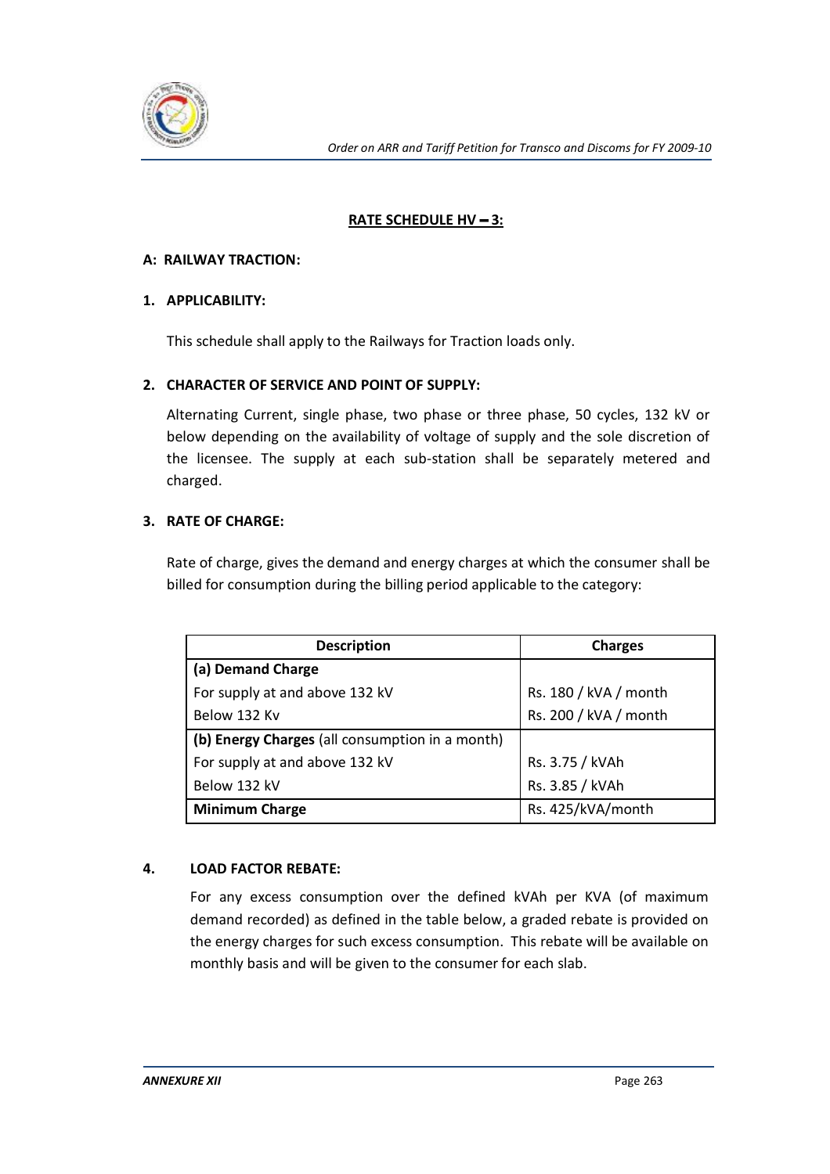

# **RATE SCHEDULE HV - 3:**

## **A: RAILWAY TRACTION:**

## **1. APPLICABILITY:**

This schedule shall apply to the Railways for Traction loads only.

## **2. CHARACTER OF SERVICE AND POINT OF SUPPLY:**

Alternating Current, single phase, two phase or three phase, 50 cycles, 132 kV or below depending on the availability of voltage of supply and the sole discretion of the licensee. The supply at each sub-station shall be separately metered and charged.

## **3. RATE OF CHARGE:**

Rate of charge, gives the demand and energy charges at which the consumer shall be billed for consumption during the billing period applicable to the category:

| <b>Description</b>                              | <b>Charges</b>        |
|-------------------------------------------------|-----------------------|
| (a) Demand Charge                               |                       |
| For supply at and above 132 kV                  | Rs. 180 / kVA / month |
| Below 132 Kv                                    | Rs. 200 / kVA / month |
| (b) Energy Charges (all consumption in a month) |                       |
| For supply at and above 132 kV                  | Rs. 3.75 / kVAh       |
| Below 132 kV                                    | Rs. 3.85 / kVAh       |
| <b>Minimum Charge</b>                           | Rs. 425/kVA/month     |

# **4. LOAD FACTOR REBATE:**

For any excess consumption over the defined kVAh per KVA (of maximum demand recorded) as defined in the table below, a graded rebate is provided on the energy charges for such excess consumption. This rebate will be available on monthly basis and will be given to the consumer for each slab.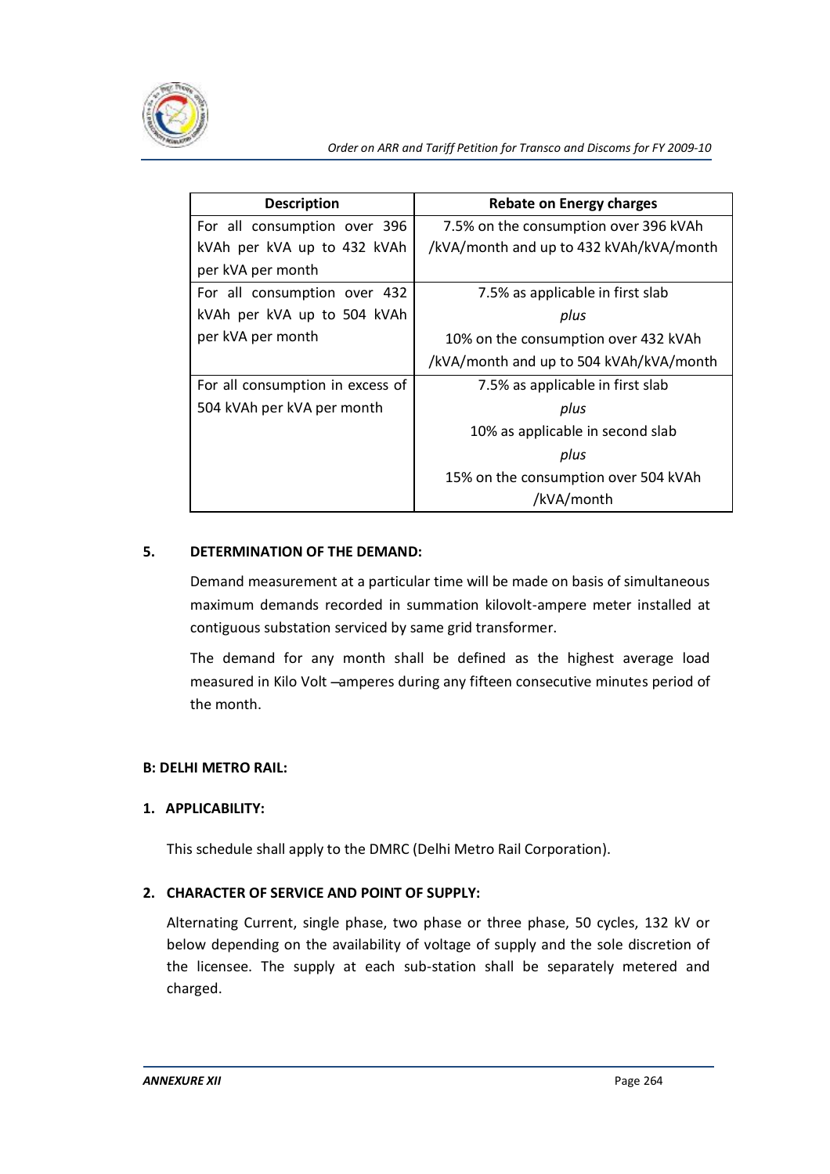

| <b>Description</b>               | <b>Rebate on Energy charges</b>         |
|----------------------------------|-----------------------------------------|
| For all consumption over 396     | 7.5% on the consumption over 396 kVAh   |
| kVAh per kVA up to 432 kVAh      | /kVA/month and up to 432 kVAh/kVA/month |
| per kVA per month                |                                         |
| For all consumption over 432     | 7.5% as applicable in first slab        |
| kVAh per kVA up to 504 kVAh      | plus                                    |
| per kVA per month                | 10% on the consumption over 432 kVAh    |
|                                  | /kVA/month and up to 504 kVAh/kVA/month |
| For all consumption in excess of | 7.5% as applicable in first slab        |
| 504 kVAh per kVA per month       | plus                                    |
|                                  | 10% as applicable in second slab        |
|                                  | plus                                    |
|                                  | 15% on the consumption over 504 kVAh    |
|                                  | /kVA/month                              |

#### **5. DETERMINATION OF THE DEMAND:**

Demand measurement at a particular time will be made on basis of simultaneous maximum demands recorded in summation kilovolt-ampere meter installed at contiguous substation serviced by same grid transformer.

The demand for any month shall be defined as the highest average load measured in Kilo Volt -amperes during any fifteen consecutive minutes period of the month.

#### **B: DELHI METRO RAIL:**

#### **1. APPLICABILITY:**

This schedule shall apply to the DMRC (Delhi Metro Rail Corporation).

# **2. CHARACTER OF SERVICE AND POINT OF SUPPLY:**

Alternating Current, single phase, two phase or three phase, 50 cycles, 132 kV or below depending on the availability of voltage of supply and the sole discretion of the licensee. The supply at each sub-station shall be separately metered and charged.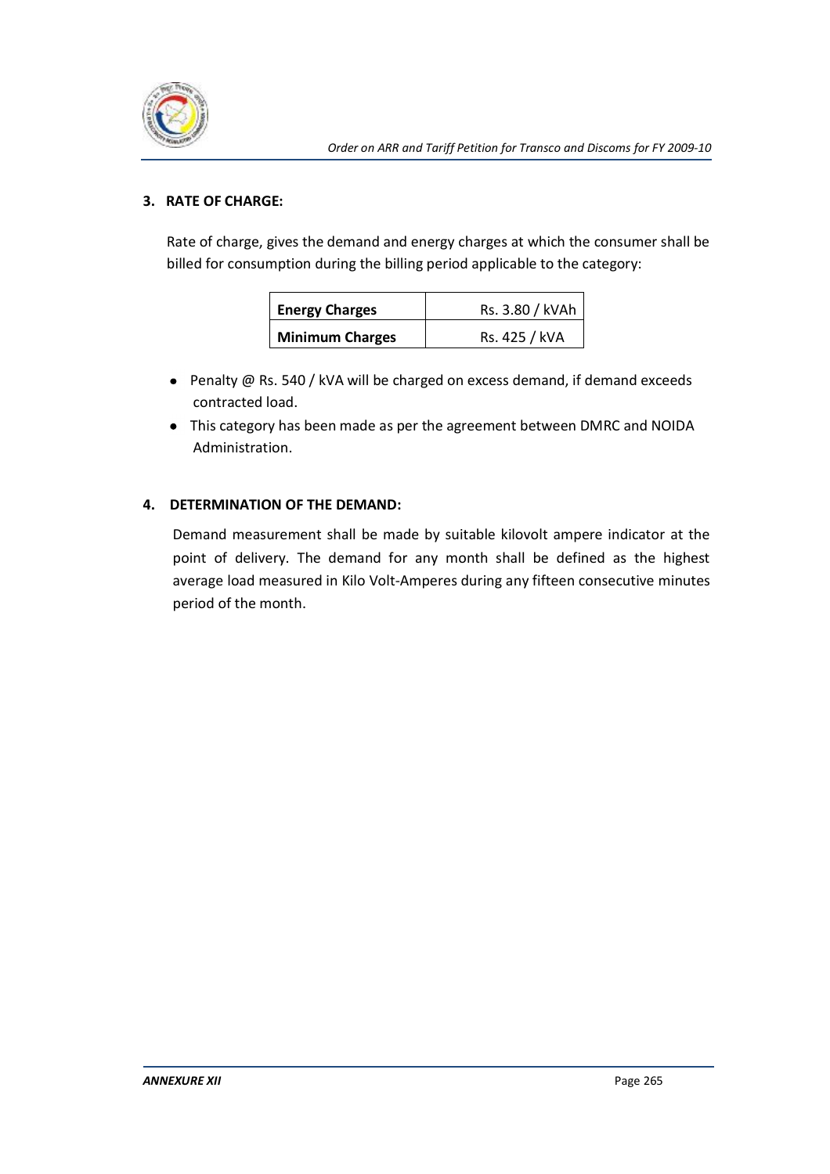

# **3. RATE OF CHARGE:**

Rate of charge, gives the demand and energy charges at which the consumer shall be billed for consumption during the billing period applicable to the category:

| <b>Energy Charges</b>  | Rs. 3.80 / kVAh |  |
|------------------------|-----------------|--|
| <b>Minimum Charges</b> | Rs. 425 / kVA   |  |

- Penalty @ Rs. 540 / kVA will be charged on excess demand, if demand exceeds contracted load.
- This category has been made as per the agreement between DMRC and NOIDA Administration.

# **4. DETERMINATION OF THE DEMAND:**

Demand measurement shall be made by suitable kilovolt ampere indicator at the point of delivery. The demand for any month shall be defined as the highest average load measured in Kilo Volt-Amperes during any fifteen consecutive minutes period of the month.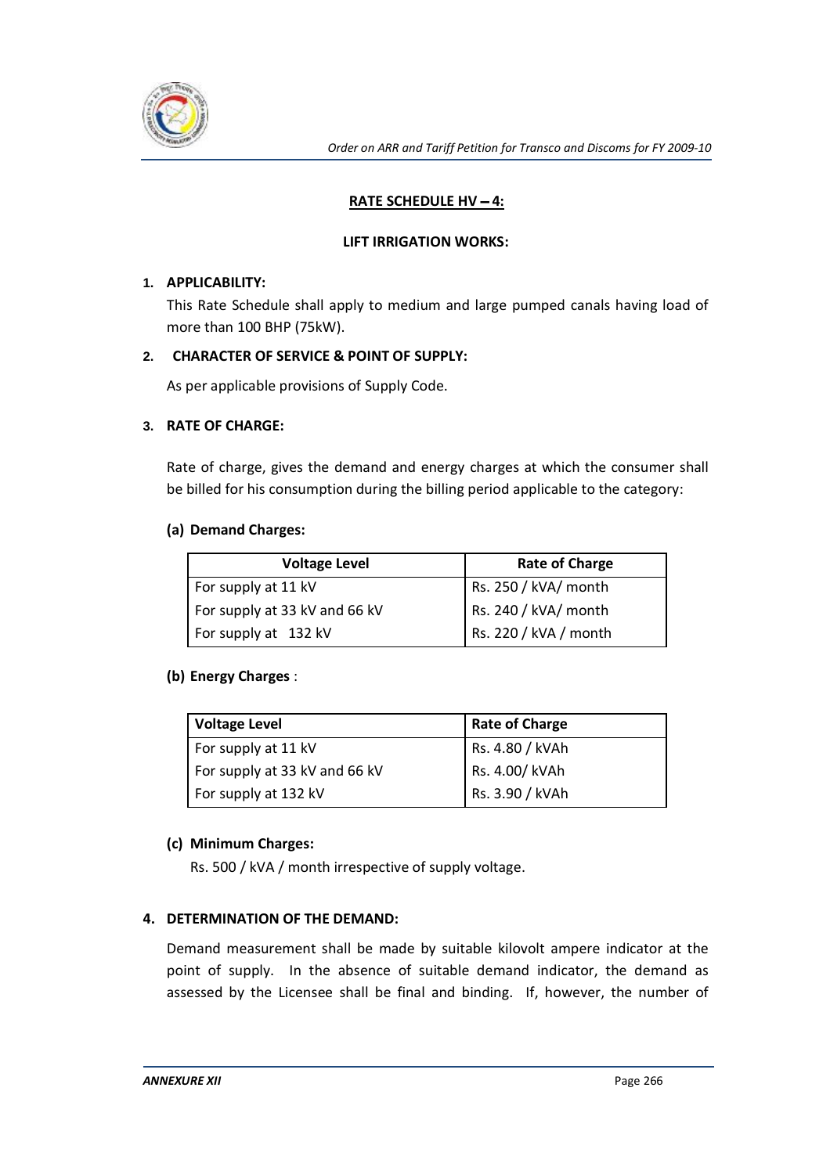

## **RATE SCHEDULE HV - 4:**

#### **LIFT IRRIGATION WORKS:**

#### **1. APPLICABILITY:**

This Rate Schedule shall apply to medium and large pumped canals having load of more than 100 BHP (75kW).

## **2. CHARACTER OF SERVICE & POINT OF SUPPLY:**

As per applicable provisions of Supply Code.

## **3. RATE OF CHARGE:**

Rate of charge, gives the demand and energy charges at which the consumer shall be billed for his consumption during the billing period applicable to the category:

#### **(a) Demand Charges:**

| <b>Voltage Level</b>          | <b>Rate of Charge</b> |
|-------------------------------|-----------------------|
| For supply at 11 kV           | Rs. 250 / kVA/ month  |
| For supply at 33 kV and 66 kV | Rs. 240 / kVA/ month  |
| For supply at 132 kV          | Rs. 220 / kVA / month |

#### **(b) Energy Charges** :

| <b>Voltage Level</b>          | Rate of Charge  |
|-------------------------------|-----------------|
| For supply at 11 kV           | Rs. 4.80 / kVAh |
| For supply at 33 kV and 66 kV | Rs. 4.00/ kVAh  |
| For supply at 132 kV          | Rs. 3.90 / kVAh |

#### **(c) Minimum Charges:**

Rs. 500 / kVA / month irrespective of supply voltage.

# **4. DETERMINATION OF THE DEMAND:**

Demand measurement shall be made by suitable kilovolt ampere indicator at the point of supply. In the absence of suitable demand indicator, the demand as assessed by the Licensee shall be final and binding. If, however, the number of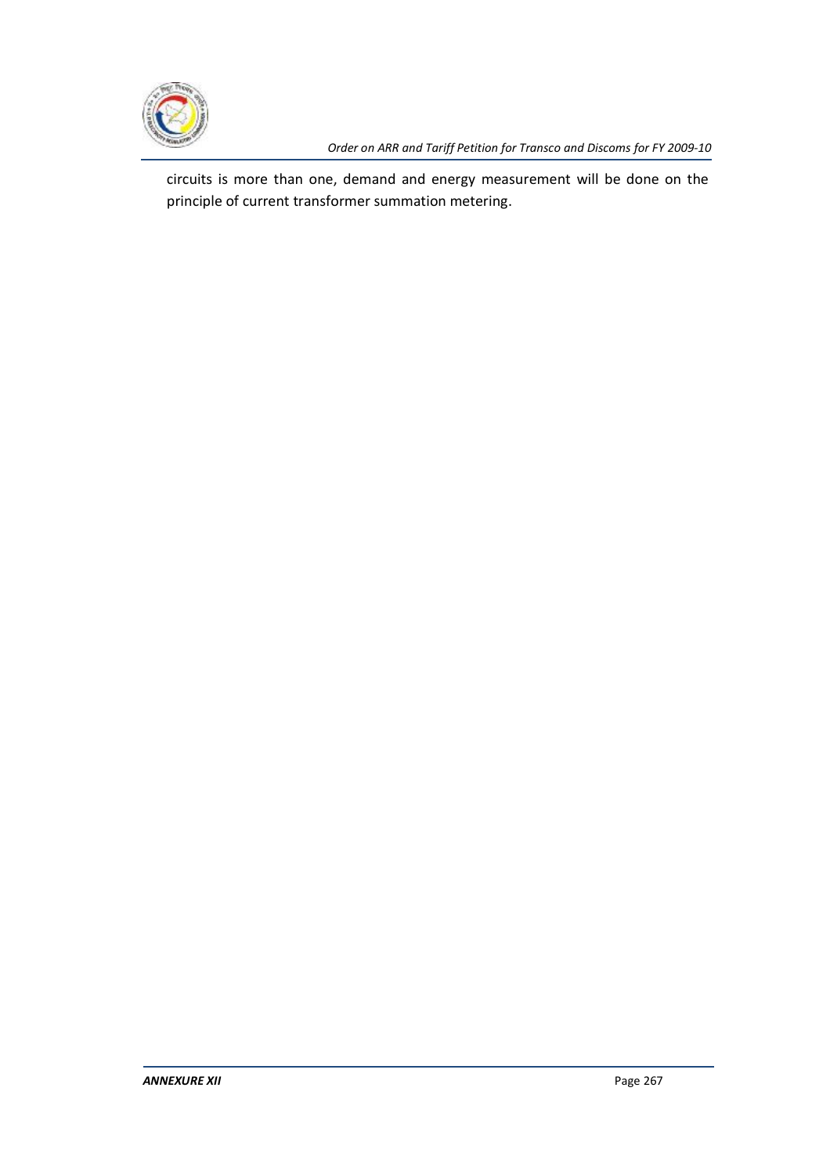

*Order on ARR and Tariff Petition for Transco and Discoms for FY 2009-10*

circuits is more than one, demand and energy measurement will be done on the principle of current transformer summation metering.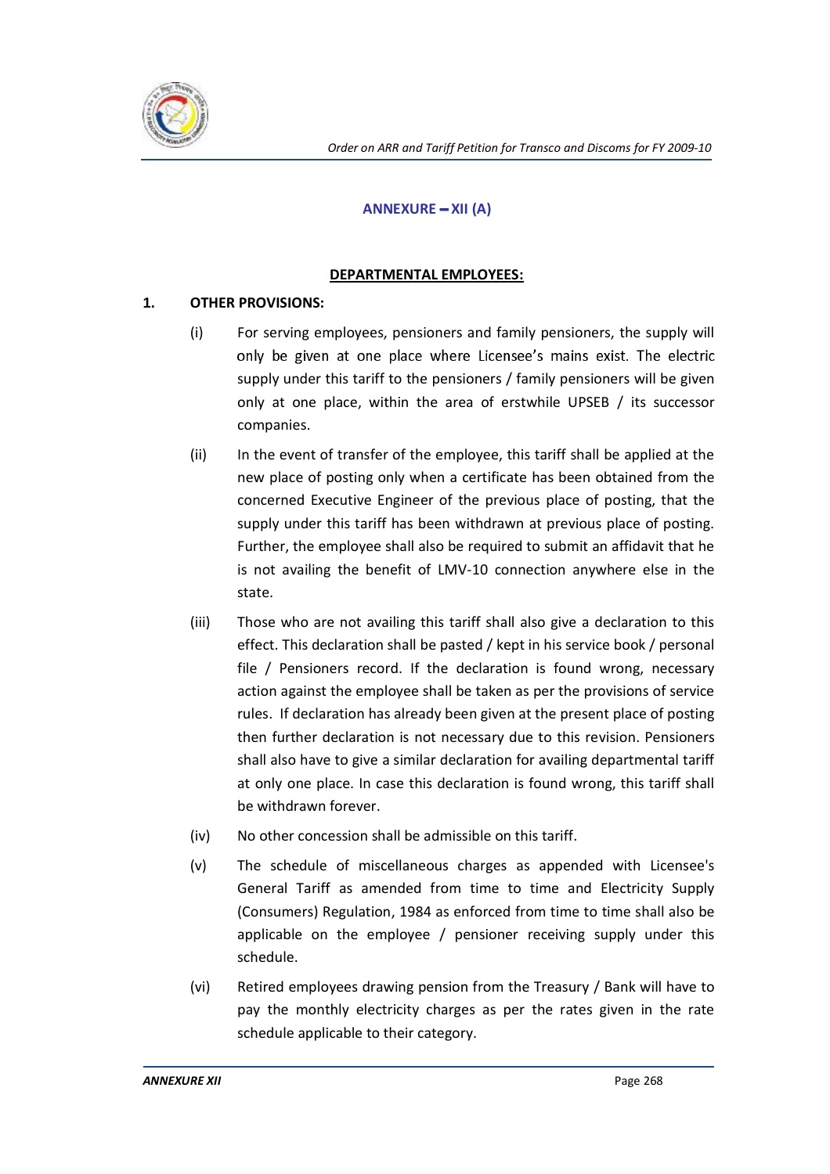

# **ANNEXURE - XII (A)**

## **DEPARTMENTAL EMPLOYEES:**

# **1. OTHER PROVISIONS:**

- (i) For serving employees, pensioners and family pensioners, the supply will only be given at one place where Licensee's mains exist. The electric supply under this tariff to the pensioners / family pensioners will be given only at one place, within the area of erstwhile UPSEB / its successor companies.
- (ii) In the event of transfer of the employee, this tariff shall be applied at the new place of posting only when a certificate has been obtained from the concerned Executive Engineer of the previous place of posting, that the supply under this tariff has been withdrawn at previous place of posting. Further, the employee shall also be required to submit an affidavit that he is not availing the benefit of LMV-10 connection anywhere else in the state.
- (iii) Those who are not availing this tariff shall also give a declaration to this effect. This declaration shall be pasted / kept in his service book / personal file / Pensioners record. If the declaration is found wrong, necessary action against the employee shall be taken as per the provisions of service rules. If declaration has already been given at the present place of posting then further declaration is not necessary due to this revision. Pensioners shall also have to give a similar declaration for availing departmental tariff at only one place. In case this declaration is found wrong, this tariff shall be withdrawn forever.
- (iv) No other concession shall be admissible on this tariff.
- (v) The schedule of miscellaneous charges as appended with Licensee's General Tariff as amended from time to time and Electricity Supply (Consumers) Regulation, 1984 as enforced from time to time shall also be applicable on the employee / pensioner receiving supply under this schedule.
- (vi) Retired employees drawing pension from the Treasury / Bank will have to pay the monthly electricity charges as per the rates given in the rate schedule applicable to their category.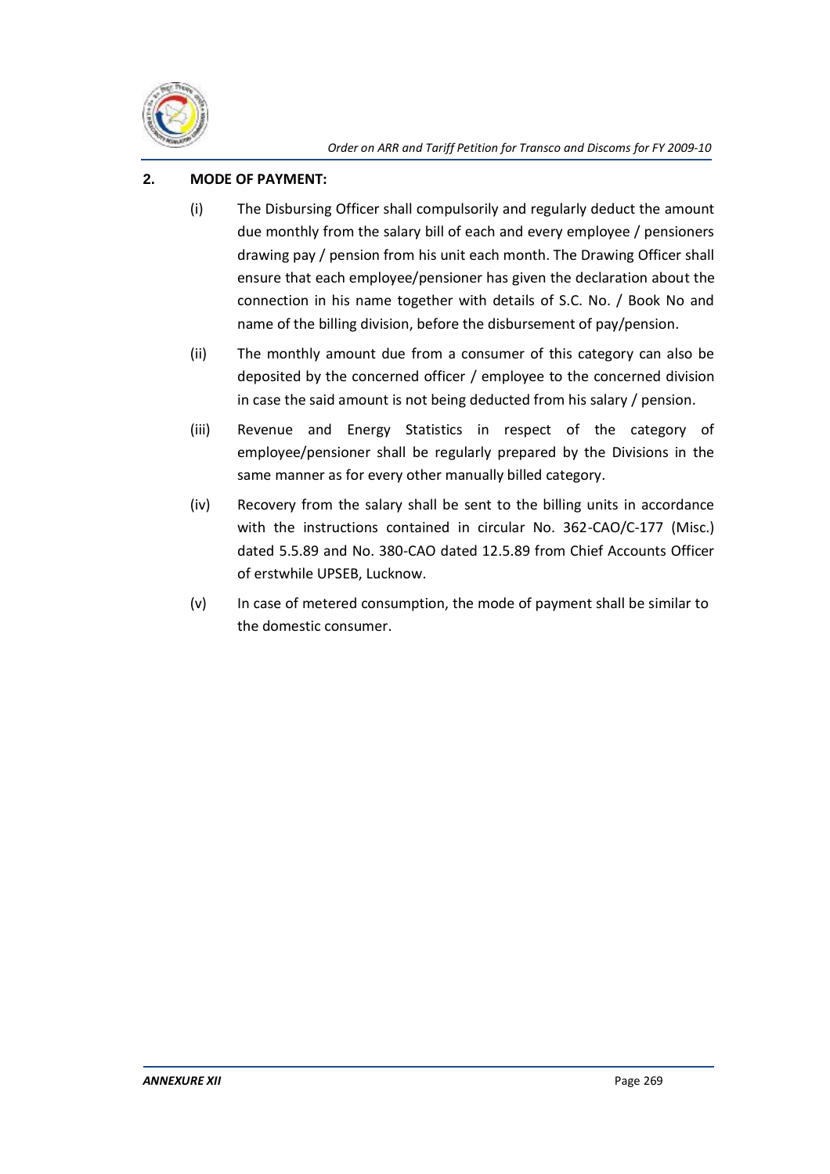

## **2. MODE OF PAYMENT:**

- (i) The Disbursing Officer shall compulsorily and regularly deduct the amount due monthly from the salary bill of each and every employee / pensioners drawing pay / pension from his unit each month. The Drawing Officer shall ensure that each employee/pensioner has given the declaration about the connection in his name together with details of S.C. No. / Book No and name of the billing division, before the disbursement of pay/pension.
- (ii) The monthly amount due from a consumer of this category can also be deposited by the concerned officer / employee to the concerned division in case the said amount is not being deducted from his salary / pension.
- (iii) Revenue and Energy Statistics in respect of the category of employee/pensioner shall be regularly prepared by the Divisions in the same manner as for every other manually billed category.
- (iv) Recovery from the salary shall be sent to the billing units in accordance with the instructions contained in circular No. 362-CAO/C-177 (Misc.) dated 5.5.89 and No. 380-CAO dated 12.5.89 from Chief Accounts Officer of erstwhile UPSEB, Lucknow.
- (v) In case of metered consumption, the mode of payment shall be similar to the domestic consumer.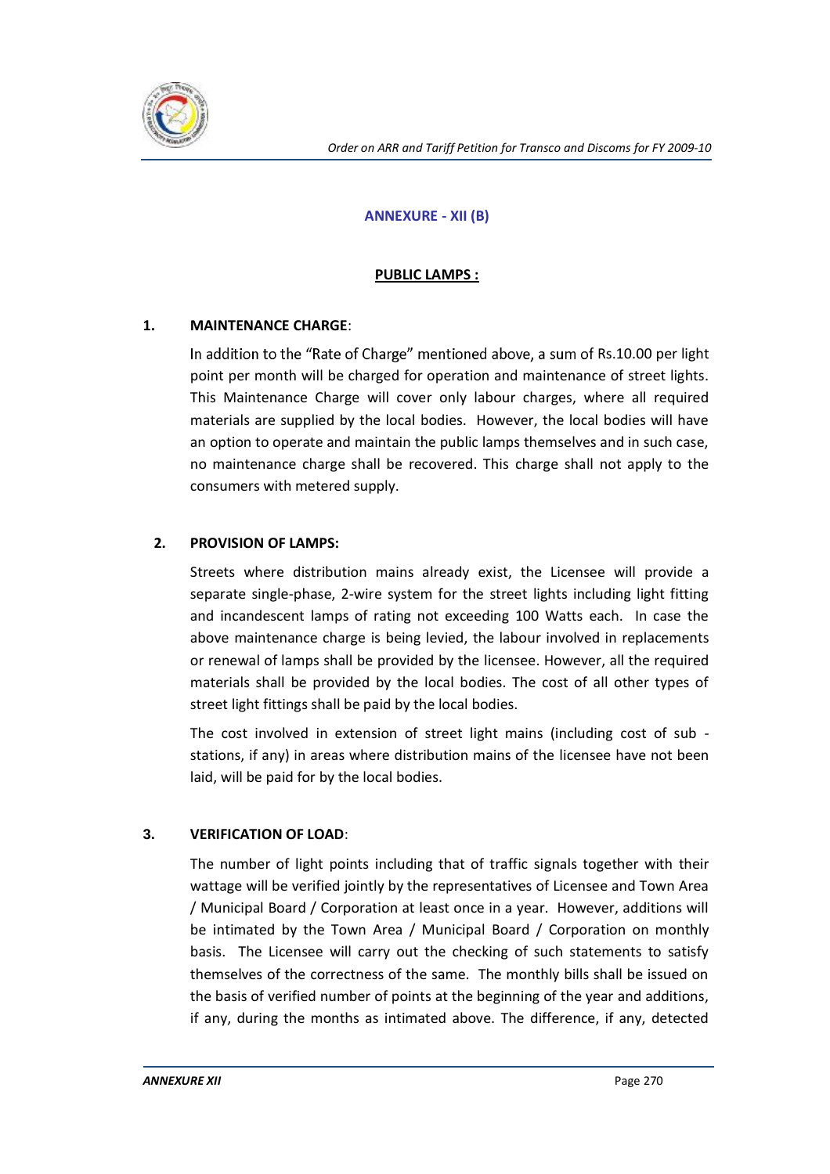

## **ANNEXURE - XII (B)**

## **PUBLIC LAMPS :**

## **1. MAINTENANCE CHARGE**:

In addition to the "Rate of Charge" mentioned above, a sum of Rs.10.00 per light point per month will be charged for operation and maintenance of street lights. This Maintenance Charge will cover only labour charges, where all required materials are supplied by the local bodies. However, the local bodies will have an option to operate and maintain the public lamps themselves and in such case, no maintenance charge shall be recovered. This charge shall not apply to the consumers with metered supply.

## **2. PROVISION OF LAMPS:**

Streets where distribution mains already exist, the Licensee will provide a separate single-phase, 2-wire system for the street lights including light fitting and incandescent lamps of rating not exceeding 100 Watts each. In case the above maintenance charge is being levied, the labour involved in replacements or renewal of lamps shall be provided by the licensee. However, all the required materials shall be provided by the local bodies. The cost of all other types of street light fittings shall be paid by the local bodies.

The cost involved in extension of street light mains (including cost of sub stations, if any) in areas where distribution mains of the licensee have not been laid, will be paid for by the local bodies.

#### **3. VERIFICATION OF LOAD**:

The number of light points including that of traffic signals together with their wattage will be verified jointly by the representatives of Licensee and Town Area / Municipal Board / Corporation at least once in a year. However, additions will be intimated by the Town Area / Municipal Board / Corporation on monthly basis. The Licensee will carry out the checking of such statements to satisfy themselves of the correctness of the same. The monthly bills shall be issued on the basis of verified number of points at the beginning of the year and additions, if any, during the months as intimated above. The difference, if any, detected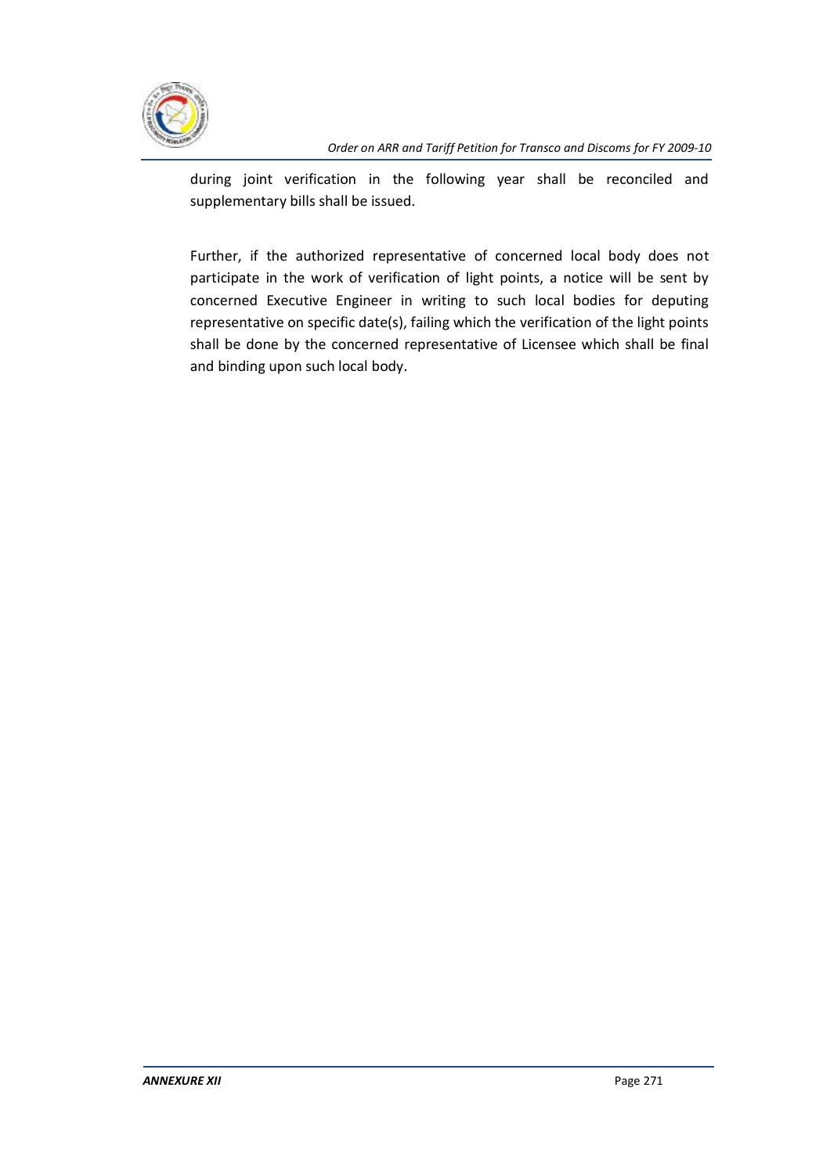

during joint verification in the following year shall be reconciled and supplementary bills shall be issued.

Further, if the authorized representative of concerned local body does not participate in the work of verification of light points, a notice will be sent by concerned Executive Engineer in writing to such local bodies for deputing representative on specific date(s), failing which the verification of the light points shall be done by the concerned representative of Licensee which shall be final and binding upon such local body.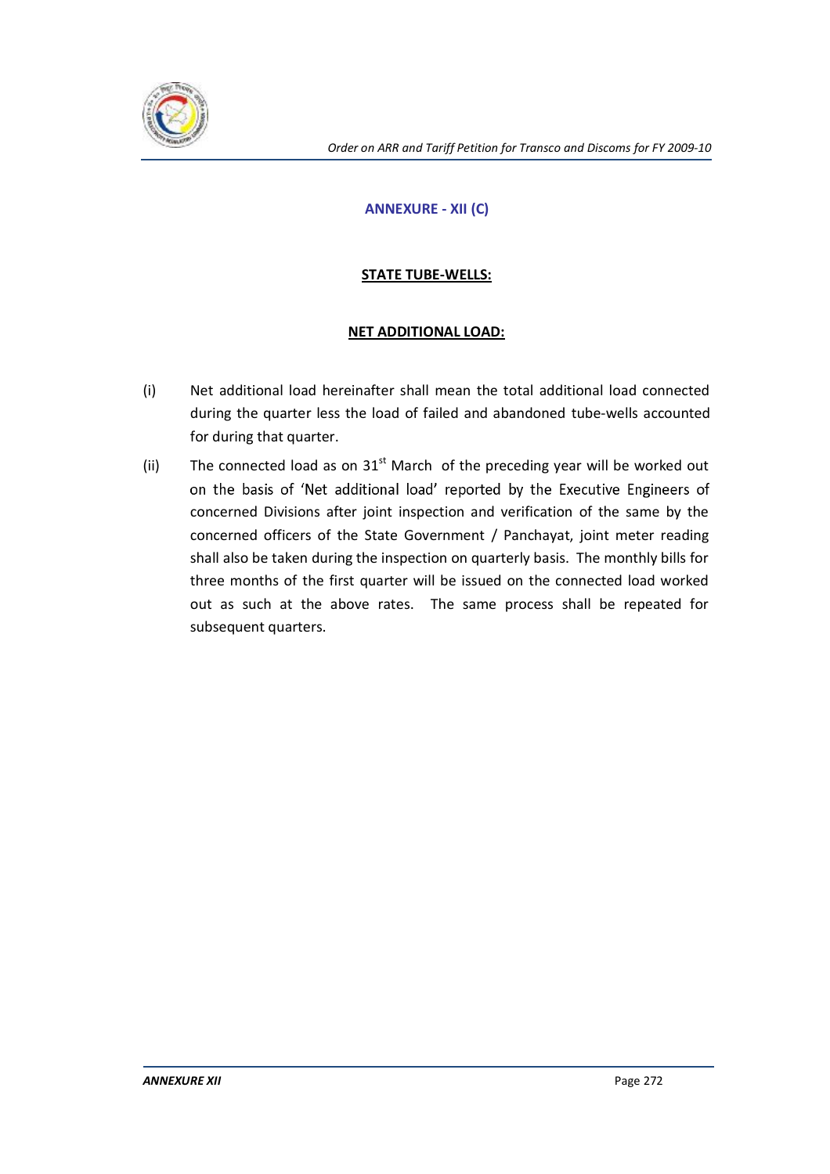

# **ANNEXURE - XII (C)**

# **STATE TUBE-WELLS:**

# **NET ADDITIONAL LOAD:**

- (i) Net additional load hereinafter shall mean the total additional load connected during the quarter less the load of failed and abandoned tube-wells accounted for during that quarter.
- (ii) The connected load as on  $31<sup>st</sup>$  March of the preceding year will be worked out on the basis of 'Net additional load' reported by the Executive Engineers of concerned Divisions after joint inspection and verification of the same by the concerned officers of the State Government / Panchayat, joint meter reading shall also be taken during the inspection on quarterly basis. The monthly bills for three months of the first quarter will be issued on the connected load worked out as such at the above rates. The same process shall be repeated for subsequent quarters.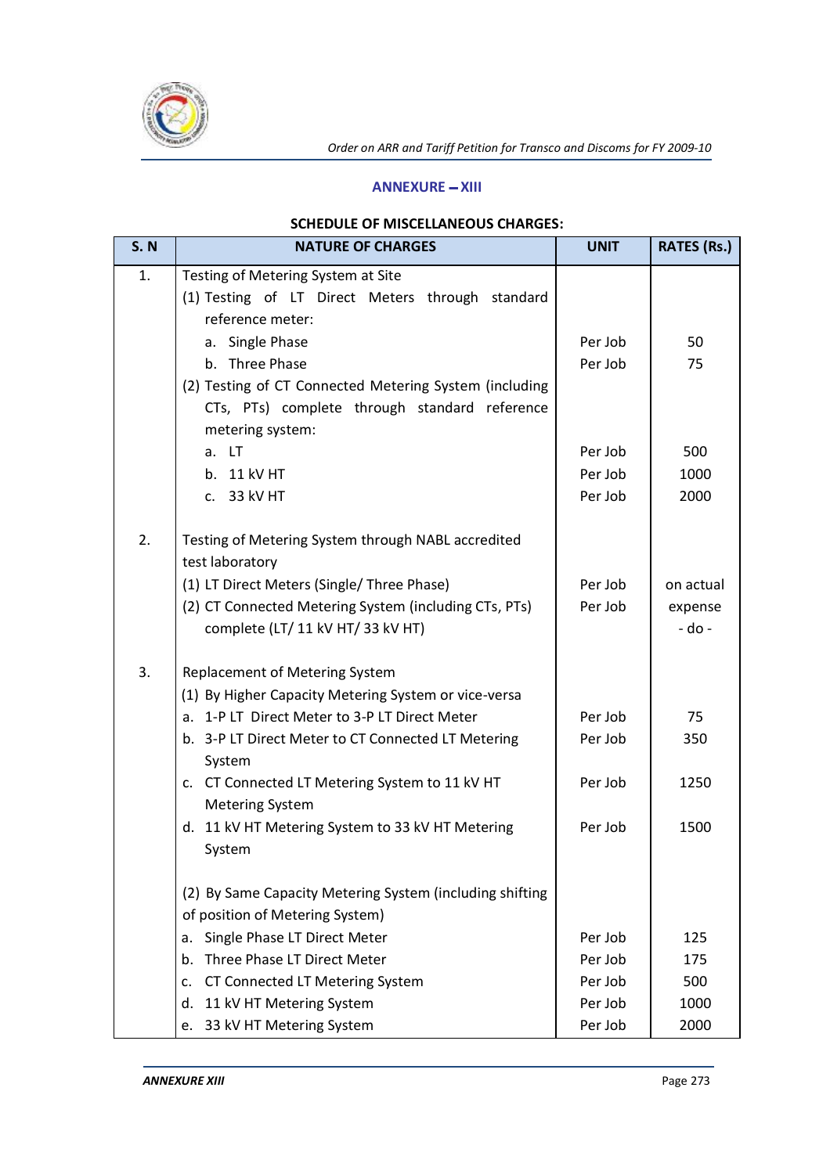

#### **ANNEXURE - XIII**

# **SCHEDULE OF MISCELLANEOUS CHARGES:**

| <b>S. N</b> | <b>NATURE OF CHARGES</b>                                                                                                    | <b>UNIT</b> | <b>RATES (Rs.)</b> |
|-------------|-----------------------------------------------------------------------------------------------------------------------------|-------------|--------------------|
| 1.          | Testing of Metering System at Site<br>(1) Testing of LT Direct Meters through standard<br>reference meter:                  |             |                    |
|             | a. Single Phase                                                                                                             | Per Job     | 50                 |
|             | b. Three Phase                                                                                                              | Per Job     | 75                 |
|             | (2) Testing of CT Connected Metering System (including<br>CTs, PTs) complete through standard reference<br>metering system: |             |                    |
|             | a. LT                                                                                                                       | Per Job     | 500                |
|             | b. 11 kV HT                                                                                                                 | Per Job     | 1000               |
|             | c. 33 kV HT                                                                                                                 | Per Job     | 2000               |
| 2.          | Testing of Metering System through NABL accredited<br>test laboratory                                                       |             |                    |
|             | (1) LT Direct Meters (Single/ Three Phase)                                                                                  | Per Job     | on actual          |
|             | (2) CT Connected Metering System (including CTs, PTs)                                                                       | Per Job     | expense            |
|             | complete (LT/ 11 kV HT/ 33 kV HT)                                                                                           |             | - do -             |
| 3.          | Replacement of Metering System                                                                                              |             |                    |
|             | (1) By Higher Capacity Metering System or vice-versa                                                                        |             |                    |
|             | a. 1-P LT Direct Meter to 3-P LT Direct Meter                                                                               | Per Job     | 75                 |
|             | b. 3-P LT Direct Meter to CT Connected LT Metering<br>System                                                                | Per Job     | 350                |
|             | c. CT Connected LT Metering System to 11 kV HT<br><b>Metering System</b>                                                    | Per Job     | 1250               |
|             | d. 11 kV HT Metering System to 33 kV HT Metering                                                                            | Per Job     | 1500               |
|             | System                                                                                                                      |             |                    |
|             | (2) By Same Capacity Metering System (including shifting                                                                    |             |                    |
|             | of position of Metering System)                                                                                             |             |                    |
|             | Single Phase LT Direct Meter<br>a.                                                                                          | Per Job     | 125                |
|             | Three Phase LT Direct Meter<br>b.                                                                                           | Per Job     | 175                |
|             | CT Connected LT Metering System<br>c.                                                                                       | Per Job     | 500                |
|             | d.<br>11 kV HT Metering System                                                                                              | Per Job     | 1000               |
|             | 33 kV HT Metering System<br>e.                                                                                              | Per Job     | 2000               |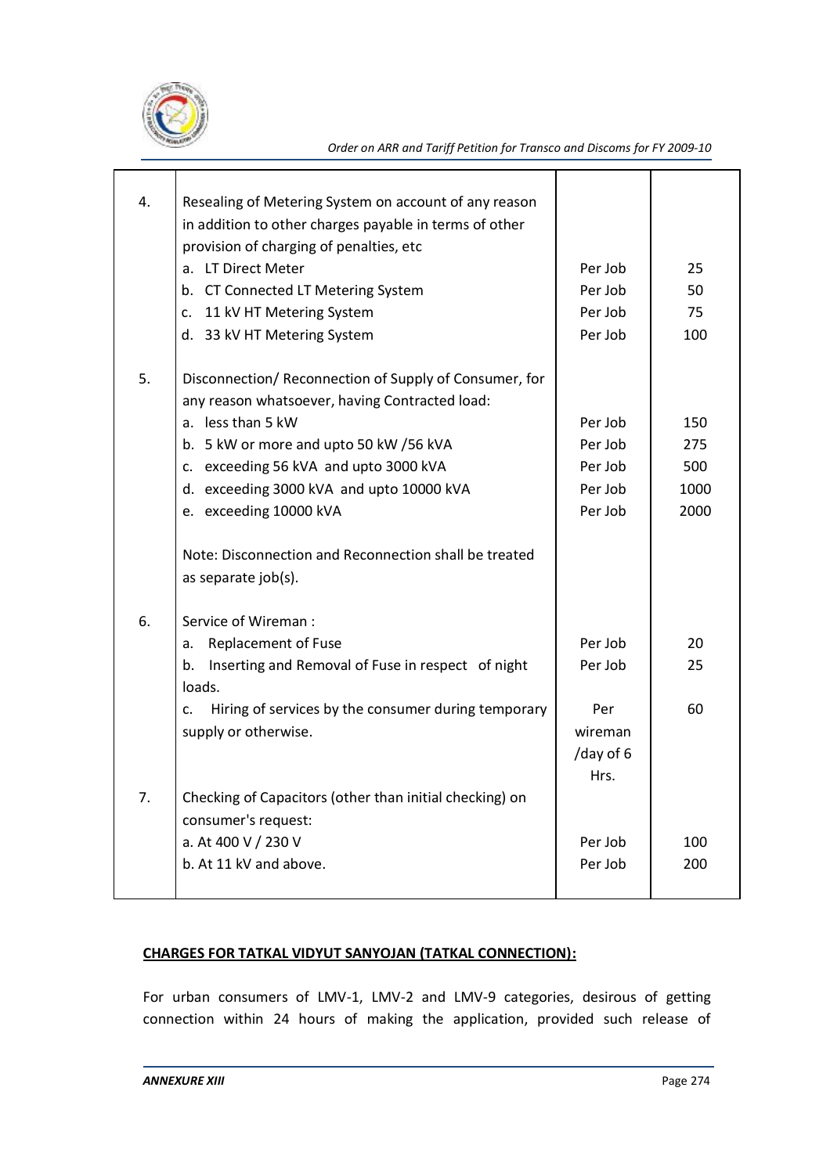

| 4. | Resealing of Metering System on account of any reason                 |           |      |
|----|-----------------------------------------------------------------------|-----------|------|
|    | in addition to other charges payable in terms of other                |           |      |
|    | provision of charging of penalties, etc                               |           |      |
|    | a. LT Direct Meter                                                    | Per Job   | 25   |
|    | b. CT Connected LT Metering System                                    | Per Job   | 50   |
|    | 11 kV HT Metering System<br>c.                                        | Per Job   | 75   |
|    | d. 33 kV HT Metering System                                           | Per Job   | 100  |
| 5. | Disconnection/ Reconnection of Supply of Consumer, for                |           |      |
|    | any reason whatsoever, having Contracted load:                        |           |      |
|    | a. less than 5 kW                                                     | Per Job   | 150  |
|    | b. 5 kW or more and upto 50 kW / 56 kVA                               | Per Job   | 275  |
|    | c. exceeding 56 kVA and upto 3000 kVA                                 | Per Job   | 500  |
|    | d. exceeding 3000 kVA and upto 10000 kVA                              | Per Job   | 1000 |
|    | e. exceeding 10000 kVA                                                | Per Job   | 2000 |
|    | Note: Disconnection and Reconnection shall be treated                 |           |      |
|    | as separate job(s).                                                   |           |      |
| 6. | Service of Wireman:                                                   |           |      |
|    | <b>Replacement of Fuse</b><br>a.                                      | Per Job   | 20   |
|    | Inserting and Removal of Fuse in respect of night<br>b.               | Per Job   | 25   |
|    | loads.                                                                |           |      |
|    | Hiring of services by the consumer during temporary<br>$\mathsf{C}$ . | Per       | 60   |
|    | supply or otherwise.                                                  | wireman   |      |
|    |                                                                       | /day of 6 |      |
|    |                                                                       | Hrs.      |      |
| 7. | Checking of Capacitors (other than initial checking) on               |           |      |
|    | consumer's request:                                                   |           |      |
|    | a. At 400 V / 230 V                                                   | Per Job   | 100  |
|    | b. At 11 kV and above.                                                | Per Job   | 200  |
|    |                                                                       |           |      |

# **CHARGES FOR TATKAL VIDYUT SANYOJAN (TATKAL CONNECTION):**

For urban consumers of LMV-1, LMV-2 and LMV-9 categories, desirous of getting connection within 24 hours of making the application, provided such release of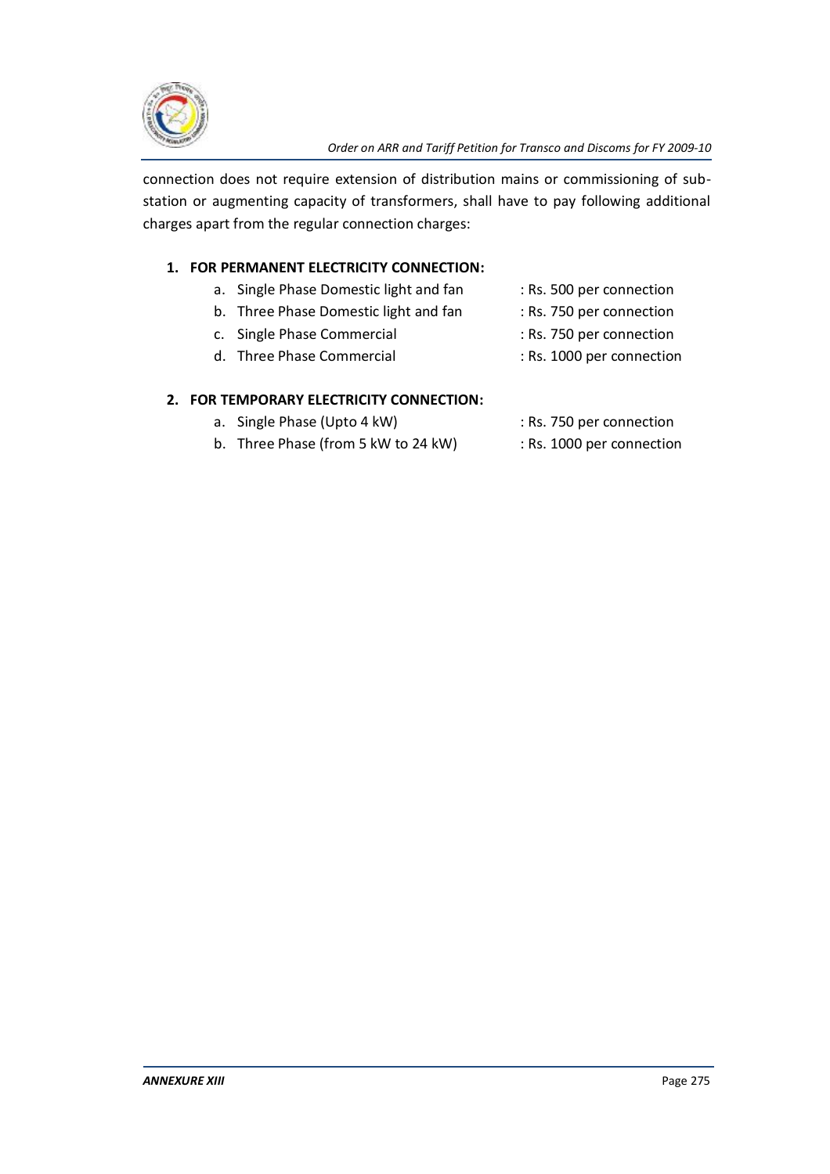

connection does not require extension of distribution mains or commissioning of substation or augmenting capacity of transformers, shall have to pay following additional charges apart from the regular connection charges:

# **1. FOR PERMANENT ELECTRICITY CONNECTION:**

- a. Single Phase Domestic light and fan : Rs. 500 per connection
- b. Three Phase Domestic light and fan : Rs. 750 per connection
- c. Single Phase Commercial : Rs. 750 per connection
- 
- d. Three Phase Commercial : Rs. 1000 per connection

## **2. FOR TEMPORARY ELECTRICITY CONNECTION:**

- a. Single Phase (Upto 4 kW) : Rs. 750 per connection
- b. Three Phase (from 5 kW to 24 kW) : Rs. 1000 per connection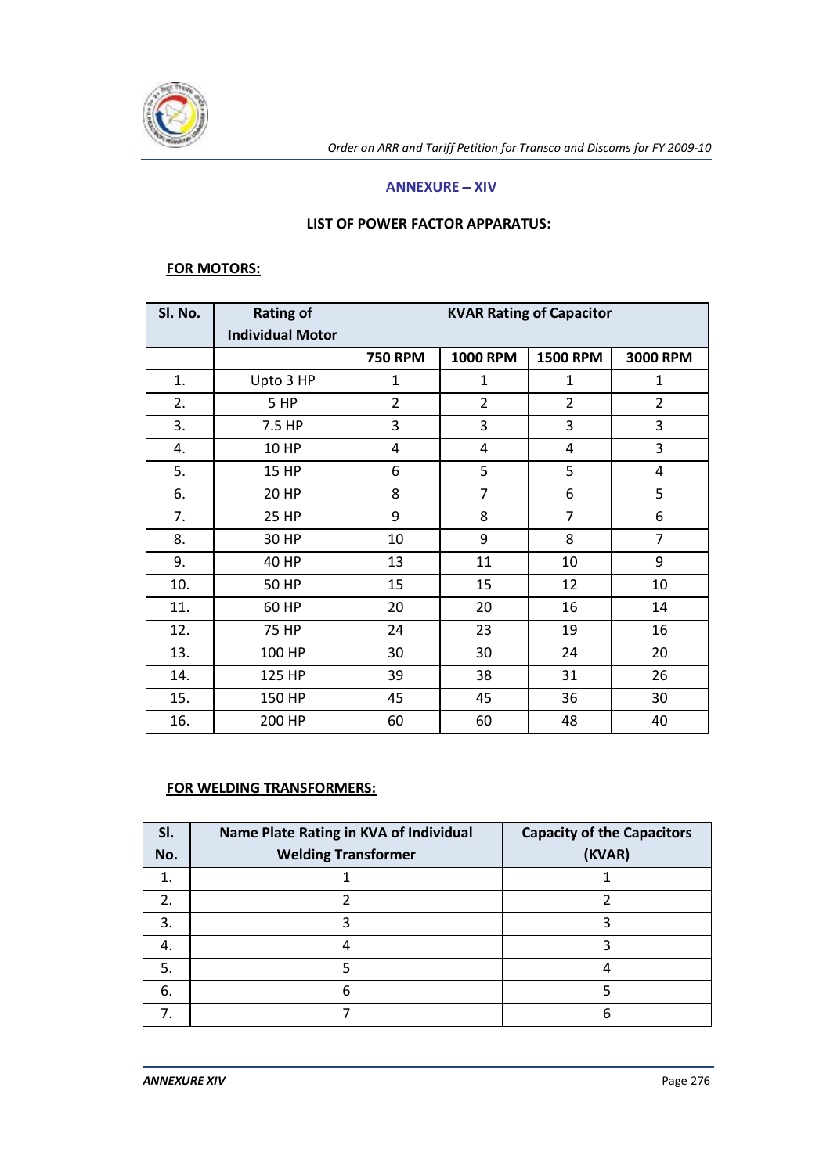

#### **ANNEXURE - XIV**

#### **LIST OF POWER FACTOR APPARATUS:**

#### **FOR MOTORS:**

| SI. No. | <b>Rating of</b>        | <b>KVAR Rating of Capacitor</b> |                 |                 |                |
|---------|-------------------------|---------------------------------|-----------------|-----------------|----------------|
|         | <b>Individual Motor</b> |                                 |                 |                 |                |
|         |                         | <b>750 RPM</b>                  | <b>1000 RPM</b> | <b>1500 RPM</b> | 3000 RPM       |
| 1.      | Upto 3 HP               | 1                               | 1               | $\mathbf{1}$    | $\mathbf{1}$   |
| 2.      | 5 HP                    | $\overline{2}$                  | $\overline{2}$  | $\overline{2}$  | $\overline{2}$ |
| 3.      | 7.5 HP                  | 3                               | 3               | 3               | 3              |
| 4.      | <b>10 HP</b>            | 4                               | $\overline{4}$  | 4               | 3              |
| 5.      | <b>15 HP</b>            | 6                               | 5               | 5               | 4              |
| 6.      | <b>20 HP</b>            | 8                               | 7               | 6               | 5              |
| 7.      | <b>25 HP</b>            | 9                               | 8               | 7               | 6              |
| 8.      | 30 HP                   | 10                              | 9               | 8               | 7              |
| 9.      | 40 HP                   | 13                              | 11              | 10              | 9              |
| 10.     | <b>50 HP</b>            | 15                              | 15              | 12              | 10             |
| 11.     | 60 HP                   | 20                              | 20              | 16              | 14             |
| 12.     | 75 HP                   | 24                              | 23              | 19              | 16             |
| 13.     | 100 HP                  | 30                              | 30              | 24              | 20             |
| 14.     | 125 HP                  | 39                              | 38              | 31              | 26             |
| 15.     | 150 HP                  | 45                              | 45              | 36              | 30             |
| 16.     | 200 HP                  | 60                              | 60              | 48              | 40             |

#### **FOR WELDING TRANSFORMERS:**

| SI.<br>No. | Name Plate Rating in KVA of Individual<br><b>Welding Transformer</b> | <b>Capacity of the Capacitors</b><br>(KVAR) |
|------------|----------------------------------------------------------------------|---------------------------------------------|
| 1.         |                                                                      |                                             |
| 2.         |                                                                      |                                             |
| 3.         |                                                                      |                                             |
| 4.         |                                                                      |                                             |
| 5.         |                                                                      |                                             |
| 6.         | 6                                                                    |                                             |
|            |                                                                      | h                                           |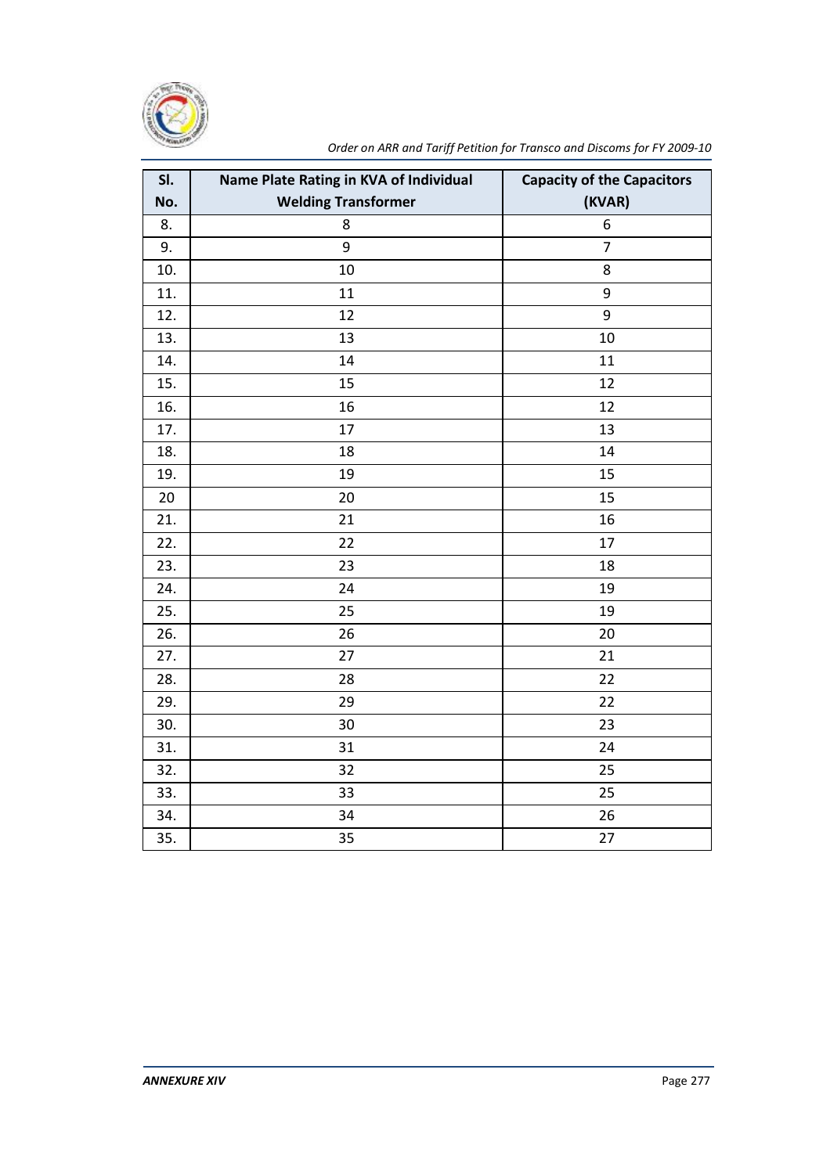

| SI. | Name Plate Rating in KVA of Individual | <b>Capacity of the Capacitors</b> |
|-----|----------------------------------------|-----------------------------------|
| No. | <b>Welding Transformer</b>             | (KVAR)                            |
| 8.  | 8                                      | 6                                 |
| 9.  | 9                                      | $\overline{7}$                    |
| 10. | 10                                     | 8                                 |
| 11. | 11                                     | 9                                 |
| 12. | 12                                     | 9                                 |
| 13. | 13                                     | 10                                |
| 14. | 14                                     | 11                                |
| 15. | 15                                     | 12                                |
| 16. | 16                                     | 12                                |
| 17. | 17                                     | 13                                |
| 18. | 18                                     | 14                                |
| 19. | 19                                     | 15                                |
| 20  | 20                                     | 15                                |
| 21. | 21                                     | 16                                |
| 22. | 22                                     | 17                                |
| 23. | 23                                     | 18                                |
| 24. | 24                                     | 19                                |
| 25. | 25                                     | 19                                |
| 26. | 26                                     | 20                                |
| 27. | 27                                     | 21                                |
| 28. | 28                                     | 22                                |
| 29. | 29                                     | 22                                |
| 30. | 30                                     | 23                                |
| 31. | 31                                     | 24                                |
| 32. | 32                                     | 25                                |
| 33. | 33                                     | 25                                |
| 34. | 34                                     | 26                                |
| 35. | 35                                     | 27                                |

*Order on ARR and Tariff Petition for Transco and Discoms for FY 2009-10*